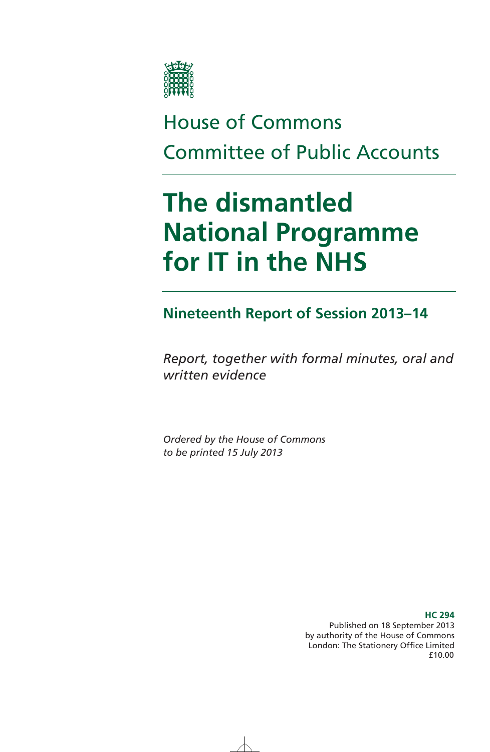

# House of Commons Committee of Public Accounts

# **The dismantled National Programme for IT in the NHS**

### **Nineteenth Report of Session 2013–14**

*Report, together with formal minutes, oral and written evidence* 

*Ordered by the House of Commons to be printed 15 July 2013* 

> Published on 18 September 2013 by authority of the House of Commons London: The Stationery Office Limited £10.00

#### **HC 294**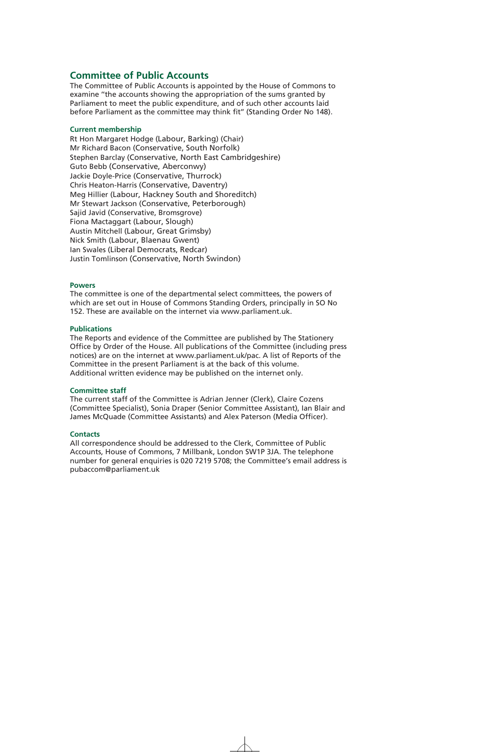#### **Committee of Public Accounts**

The Committee of Public Accounts is appointed by the House of Commons to examine ''the accounts showing the appropriation of the sums granted by Parliament to meet the public expenditure, and of such other accounts laid before Parliament as the committee may think fit'' (Standing Order No 148).

#### **Current membership**

Rt Hon Margaret Hodge (Labour, Barking) (Chair) Mr Richard Bacon (Conservative, South Norfolk) Stephen Barclay (Conservative, North East Cambridgeshire) Guto Bebb (Conservative, Aberconwy) Jackie Doyle-Price (Conservative, Thurrock) Chris Heaton-Harris (Conservative, Daventry) Meg Hillier (Labour, Hackney South and Shoreditch) Mr Stewart Jackson (Conservative, Peterborough) Sajid Javid (Conservative, Bromsgrove) Fiona Mactaggart (Labour, Slough) Austin Mitchell (Labour, Great Grimsby) Nick Smith (Labour, Blaenau Gwent) Ian Swales (Liberal Democrats, Redcar) Justin Tomlinson (Conservative, North Swindon)

#### **Powers**

The committee is one of the departmental select committees, the powers of which are set out in House of Commons Standing Orders, principally in SO No 152. These are available on the internet via www.parliament.uk.

#### **Publications**

The Reports and evidence of the Committee are published by The Stationery Office by Order of the House. All publications of the Committee (including press notices) are on the internet at www.parliament.uk/pac. A list of Reports of the Committee in the present Parliament is at the back of this volume. Additional written evidence may be published on the internet only.

#### **Committee staff**

The current staff of the Committee is Adrian Jenner (Clerk), Claire Cozens (Committee Specialist), Sonia Draper (Senior Committee Assistant), Ian Blair and James McQuade (Committee Assistants) and Alex Paterson (Media Officer).

#### **Contacts**

All correspondence should be addressed to the Clerk, Committee of Public Accounts, House of Commons, 7 Millbank, London SW1P 3JA. The telephone number for general enquiries is 020 7219 5708; the Committee's email address is pubaccom@parliament.uk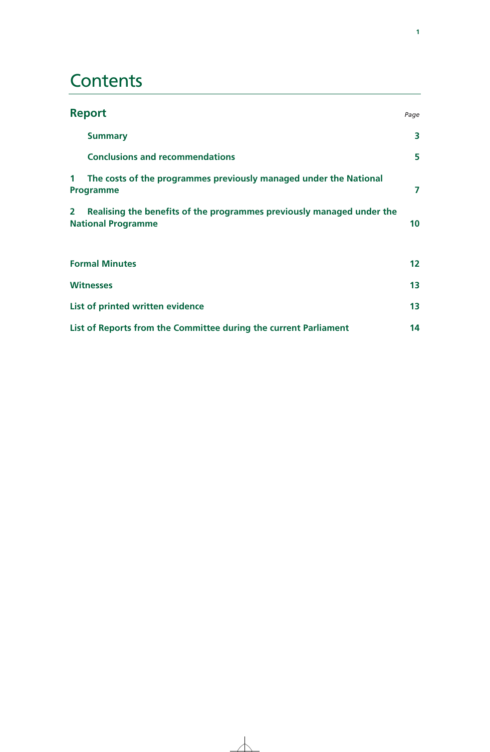## **Contents**

|                                                                  | <b>Report</b>                                                                                      | Page            |
|------------------------------------------------------------------|----------------------------------------------------------------------------------------------------|-----------------|
|                                                                  | <b>Summary</b>                                                                                     | 3               |
|                                                                  | <b>Conclusions and recommendations</b>                                                             | 5               |
| 1                                                                | The costs of the programmes previously managed under the National<br>Programme                     | 7               |
| $\mathbf{2}$                                                     | Realising the benefits of the programmes previously managed under the<br><b>National Programme</b> | 10 <sup>°</sup> |
|                                                                  | <b>Formal Minutes</b>                                                                              | 12 <sub>2</sub> |
|                                                                  | <b>Witnesses</b>                                                                                   | 13              |
|                                                                  | List of printed written evidence                                                                   | 13              |
| List of Reports from the Committee during the current Parliament |                                                                                                    | 14              |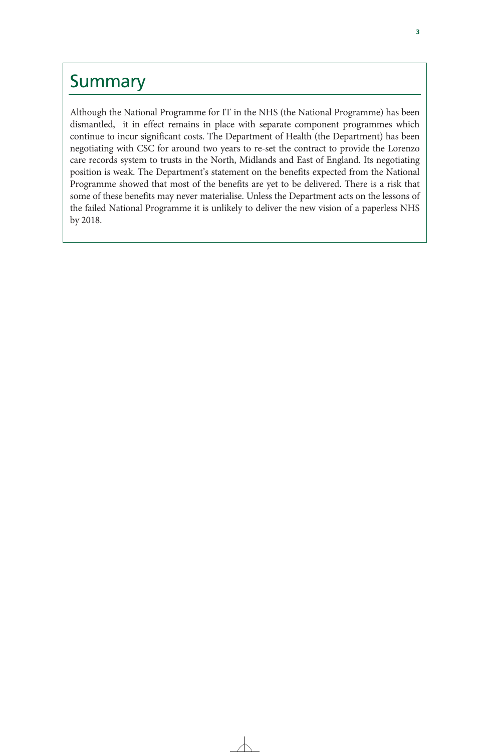### Summary

Although the National Programme for IT in the NHS (the National Programme) has been dismantled, it in effect remains in place with separate component programmes which continue to incur significant costs. The Department of Health (the Department) has been negotiating with CSC for around two years to re-set the contract to provide the Lorenzo care records system to trusts in the North, Midlands and East of England. Its negotiating position is weak. The Department's statement on the benefits expected from the National Programme showed that most of the benefits are yet to be delivered. There is a risk that some of these benefits may never materialise. Unless the Department acts on the lessons of the failed National Programme it is unlikely to deliver the new vision of a paperless NHS by 2018.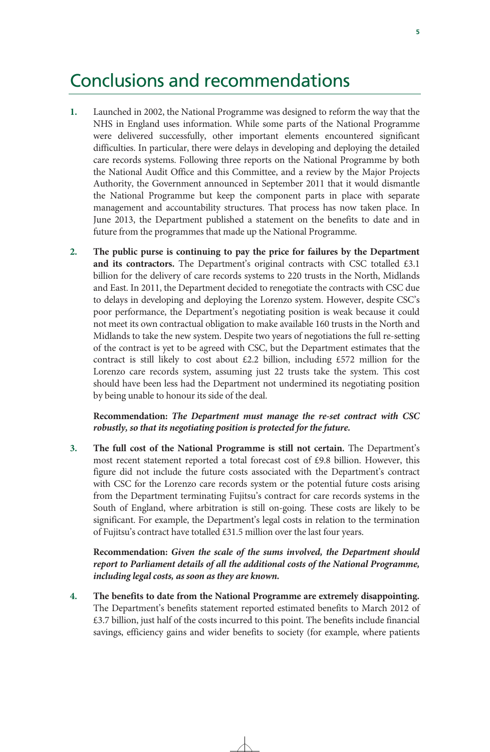### Conclusions and recommendations

- **1.** Launched in 2002, the National Programme was designed to reform the way that the NHS in England uses information. While some parts of the National Programme were delivered successfully, other important elements encountered significant difficulties. In particular, there were delays in developing and deploying the detailed care records systems. Following three reports on the National Programme by both the National Audit Office and this Committee, and a review by the Major Projects Authority, the Government announced in September 2011 that it would dismantle the National Programme but keep the component parts in place with separate management and accountability structures. That process has now taken place. In June 2013, the Department published a statement on the benefits to date and in future from the programmes that made up the National Programme.
- **2. The public purse is continuing to pay the price for failures by the Department**  and its contractors. The Department's original contracts with CSC totalled £3.1 billion for the delivery of care records systems to 220 trusts in the North, Midlands and East. In 2011, the Department decided to renegotiate the contracts with CSC due to delays in developing and deploying the Lorenzo system. However, despite CSC's poor performance, the Department's negotiating position is weak because it could not meet its own contractual obligation to make available 160 trusts in the North and Midlands to take the new system. Despite two years of negotiations the full re-setting of the contract is yet to be agreed with CSC, but the Department estimates that the contract is still likely to cost about  $\text{\pounds}2.2$  billion, including  $\text{\pounds}572$  million for the Lorenzo care records system, assuming just 22 trusts take the system. This cost should have been less had the Department not undermined its negotiating position by being unable to honour its side of the deal.

**Recommendation:** *The Department must manage the re-set contract with CSC robustly, so that its negotiating position is protected for the future.*

**3. The full cost of the National Programme is still not certain.** The Department's most recent statement reported a total forecast cost of  $£9.8$  billion. However, this figure did not include the future costs associated with the Department's contract with CSC for the Lorenzo care records system or the potential future costs arising from the Department terminating Fujitsu's contract for care records systems in the South of England, where arbitration is still on-going. These costs are likely to be significant. For example, the Department's legal costs in relation to the termination of Fujitsu's contract have totalled £31.5 million over the last four years.

**Recommendation:** *Given the scale of the sums involved, the Department should report to Parliament details of all the additional costs of the National Programme, including legal costs, as soon as they are known.*

**4. The benefits to date from the National Programme are extremely disappointing.** The Department's benefits statement reported estimated benefits to March 2012 of  $£3.7$  billion, just half of the costs incurred to this point. The benefits include financial savings, efficiency gains and wider benefits to society (for example, where patients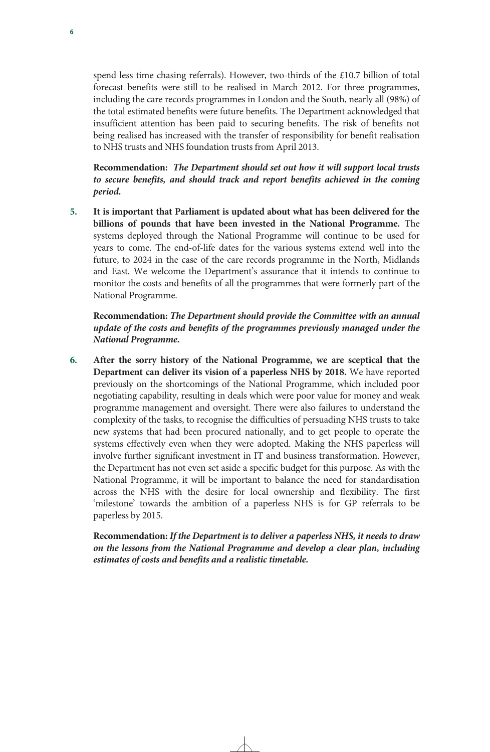spend less time chasing referrals). However, two-thirds of the £10.7 billion of total forecast benefits were still to be realised in March 2012. For three programmes, including the care records programmes in London and the South, nearly all (98%) of the total estimated benefits were future benefits. The Department acknowledged that insufficient attention has been paid to securing benefits. The risk of benefits not being realised has increased with the transfer of responsibility for benefit realisation to NHS trusts and NHS foundation trusts from April 2013.

**Recommendation:** *The Department should set out how it will support local trusts to secure benefits, and should track and report benefits achieved in the coming period.* 

**5. It is important that Parliament is updated about what has been delivered for the billions of pounds that have been invested in the National Programme.** The systems deployed through the National Programme will continue to be used for years to come. The end-of-life dates for the various systems extend well into the future, to 2024 in the case of the care records programme in the North, Midlands and East. We welcome the Department's assurance that it intends to continue to monitor the costs and benefits of all the programmes that were formerly part of the National Programme.

**Recommendation:** *The Department should provide the Committee with an annual update of the costs and benefits of the programmes previously managed under the National Programme.*

**6. After the sorry history of the National Programme, we are sceptical that the Department can deliver its vision of a paperless NHS by 2018.** We have reported previously on the shortcomings of the National Programme, which included poor negotiating capability, resulting in deals which were poor value for money and weak programme management and oversight. There were also failures to understand the complexity of the tasks, to recognise the difficulties of persuading NHS trusts to take new systems that had been procured nationally, and to get people to operate the systems effectively even when they were adopted. Making the NHS paperless will involve further significant investment in IT and business transformation. However, the Department has not even set aside a specific budget for this purpose. As with the National Programme, it will be important to balance the need for standardisation across the NHS with the desire for local ownership and flexibility. The first 'milestone' towards the ambition of a paperless NHS is for GP referrals to be paperless by 2015.

**Recommendation:** *If the Department is to deliver a paperless NHS, it needs to draw on the lessons from the National Programme and develop a clear plan, including estimates of costs and benefits and a realistic timetable.*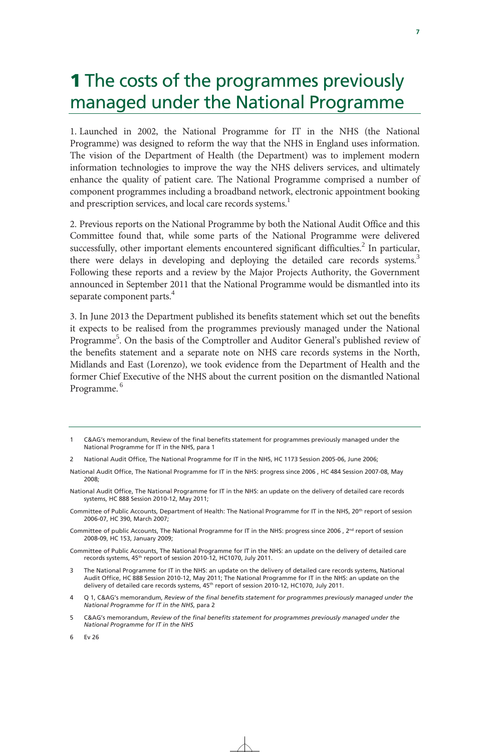# **1** The costs of the programmes previously managed under the National Programme

1. Launched in 2002, the National Programme for IT in the NHS (the National Programme) was designed to reform the way that the NHS in England uses information. The vision of the Department of Health (the Department) was to implement modern information technologies to improve the way the NHS delivers services, and ultimately enhance the quality of patient care. The National Programme comprised a number of component programmes including a broadband network, electronic appointment booking and prescription services, and local care records systems.<sup>1</sup>

2. Previous reports on the National Programme by both the National Audit Office and this Committee found that, while some parts of the National Programme were delivered successfully, other important elements encountered significant difficulties.<sup>2</sup> In particular, there were delays in developing and deploying the detailed care records systems.<sup>3</sup> Following these reports and a review by the Major Projects Authority, the Government announced in September 2011 that the National Programme would be dismantled into its separate component parts.<sup>4</sup>

3. In June 2013 the Department published its benefits statement which set out the benefits it expects to be realised from the programmes previously managed under the National Programme<sup>5</sup>. On the basis of the Comptroller and Auditor General's published review of the benefits statement and a separate note on NHS care records systems in the North, Midlands and East (Lorenzo), we took evidence from the Department of Health and the former Chief Executive of the NHS about the current position on the dismantled National Programme.<sup>6</sup>

- National Audit Office, The National Programme for IT in the NHS: progress since 2006 , HC 484 Session 2007-08, May  $2008$
- National Audit Office, The National Programme for IT in the NHS: an update on the delivery of detailed care records systems, HC 888 Session 2010-12, May 2011;
- Committee of Public Accounts, Department of Health: The National Programme for IT in the NHS, 20<sup>th</sup> report of session 2006-07, HC 390, March 2007;
- Committee of public Accounts, The National Programme for IT in the NHS: progress since 2006, 2<sup>nd</sup> report of session 2008-09, HC 153, January 2009;
- Committee of Public Accounts, The National Programme for IT in the NHS: an update on the delivery of detailed care records systems, 45<sup>th</sup> report of session 2010-12, HC1070, July 2011.
- The National Programme for IT in the NHS: an update on the delivery of detailed care records systems, National Audit Office, HC 888 Session 2010-12, May 2011; The National Programme for IT in the NHS: an update on the delivery of detailed care records systems, 45<sup>th</sup> report of session 2010-12, HC1070, July 2011.
- 4 Q 1, C&AG's memorandum, *Review of the final benefits statement for programmes previously managed under the National Programme for IT in the NHS*, para 2
- 5 C&AG's memorandum, *Review of the final benefits statement for programmes previously managed under the National Programme for IT in the NHS*

**7**

6 Ev 26

<sup>1</sup> C&AG's memorandum, Review of the final benefits statement for programmes previously managed under the National Programme for IT in the NHS, para 1

<sup>2</sup> National Audit Office, The National Programme for IT in the NHS, HC 1173 Session 2005-06, June 2006;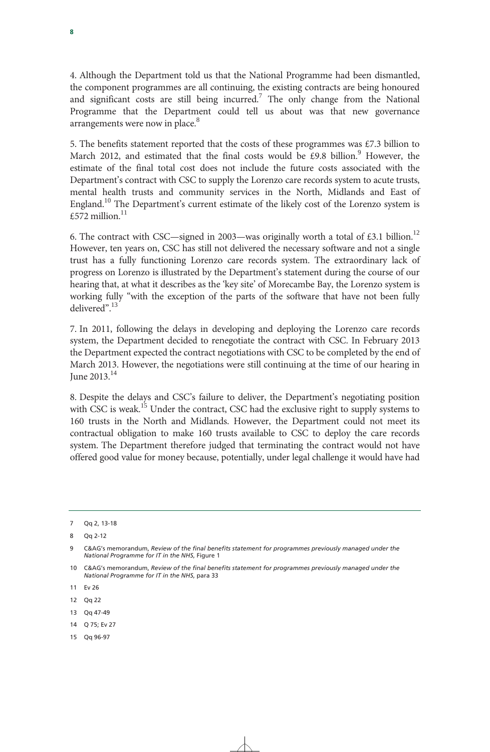4. Although the Department told us that the National Programme had been dismantled, the component programmes are all continuing, the existing contracts are being honoured and significant costs are still being incurred.<sup>7</sup> The only change from the National Programme that the Department could tell us about was that new governance arrangements were now in place.<sup>8</sup>

5. The benefits statement reported that the costs of these programmes was  $£7.3$  billion to March 2012, and estimated that the final costs would be £9.8 billion. $9$  However, the estimate of the final total cost does not include the future costs associated with the Department's contract with CSC to supply the Lorenzo care records system to acute trusts, mental health trusts and community services in the North, Midlands and East of England.<sup>10</sup> The Department's current estimate of the likely cost of the Lorenzo system is £572 million $11$ 

6. The contract with CSC—signed in 2003—was originally worth a total of £3.1 billion.<sup>12</sup> However, ten years on, CSC has still not delivered the necessary software and not a single trust has a fully functioning Lorenzo care records system. The extraordinary lack of progress on Lorenzo is illustrated by the Department's statement during the course of our hearing that, at what it describes as the 'key site' of Morecambe Bay, the Lorenzo system is working fully "with the exception of the parts of the software that have not been fully delivered".<sup>13</sup>

7. In 2011, following the delays in developing and deploying the Lorenzo care records system, the Department decided to renegotiate the contract with CSC. In February 2013 the Department expected the contract negotiations with CSC to be completed by the end of March 2013. However, the negotiations were still continuing at the time of our hearing in June  $2013.<sup>14</sup>$ 

8. Despite the delays and CSC's failure to deliver, the Department's negotiating position with CSC is weak.<sup>15</sup> Under the contract, CSC had the exclusive right to supply systems to 160 trusts in the North and Midlands. However, the Department could not meet its contractual obligation to make 160 trusts available to CSC to deploy the care records system. The Department therefore judged that terminating the contract would not have offered good value for money because, potentially, under legal challenge it would have had

- 13 Qq 47-49
- 14 Q 75; Ev 27
- 15 Qq 96-97

<sup>7</sup> Qq 2, 13-18

<sup>8</sup> Qq 2-12

<sup>9</sup> C&AG's memorandum, *Review of the final benefits statement for programmes previously managed under the National Programme for IT in the NHS*, Figure 1

<sup>10</sup> C&AG's memorandum, *Review of the final benefits statement for programmes previously managed under the National Programme for IT in the NHS*, para 33

<sup>11</sup> Ev 26

<sup>12</sup> Qq 22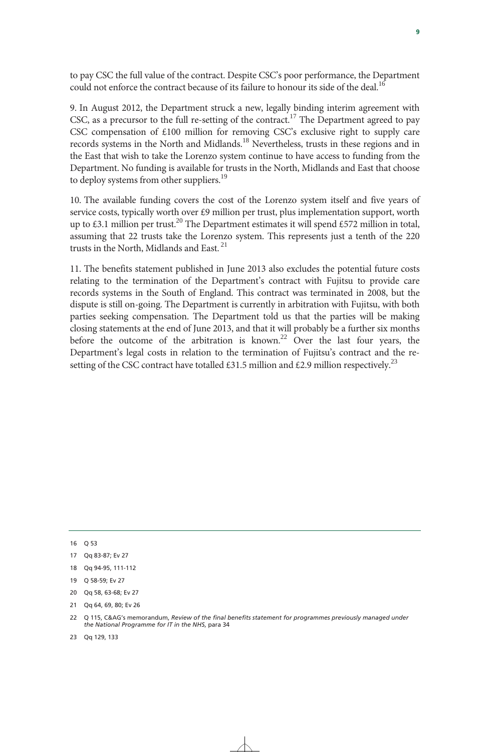to pay CSC the full value of the contract. Despite CSC's poor performance, the Department could not enforce the contract because of its failure to honour its side of the deal.<sup>16</sup>

9. In August 2012, the Department struck a new, legally binding interim agreement with CSC, as a precursor to the full re-setting of the contract.<sup>17</sup> The Department agreed to pay CSC compensation of £100 million for removing CSC's exclusive right to supply care records systems in the North and Midlands.<sup>18</sup> Nevertheless, trusts in these regions and in the East that wish to take the Lorenzo system continue to have access to funding from the Department. No funding is available for trusts in the North, Midlands and East that choose to deploy systems from other suppliers.<sup>19</sup>

10. The available funding covers the cost of the Lorenzo system itself and five years of service costs, typically worth over £9 million per trust, plus implementation support, worth up to £3.1 million per trust.<sup>20</sup> The Department estimates it will spend £572 million in total, assuming that 22 trusts take the Lorenzo system. This represents just a tenth of the 220 trusts in the North, Midlands and East.<sup>21</sup>

11. The benefits statement published in June 2013 also excludes the potential future costs relating to the termination of the Department's contract with Fujitsu to provide care records systems in the South of England. This contract was terminated in 2008, but the dispute is still on-going. The Department is currently in arbitration with Fujitsu, with both parties seeking compensation. The Department told us that the parties will be making closing statements at the end of June 2013, and that it will probably be a further six months before the outcome of the arbitration is known.<sup>22</sup> Over the last four years, the Department's legal costs in relation to the termination of Fujitsu's contract and the resetting of the CSC contract have totalled £31.5 million and £2.9 million respectively.<sup>23</sup>

23 Qq 129, 133

<sup>16</sup> Q 53

<sup>17</sup> Qq 83-87; Ev 27

<sup>18</sup> Qq 94-95, 111-112

<sup>19</sup> Q 58-59; Ev 27

<sup>20</sup> Qq 58, 63-68; Ev 27

<sup>21</sup> Qq 64, 69, 80; Ev 26

<sup>22</sup> Q 115, C&AG's memorandum, *Review of the final benefits statement for programmes previously managed under the National Programme for IT in the NHS*, para 34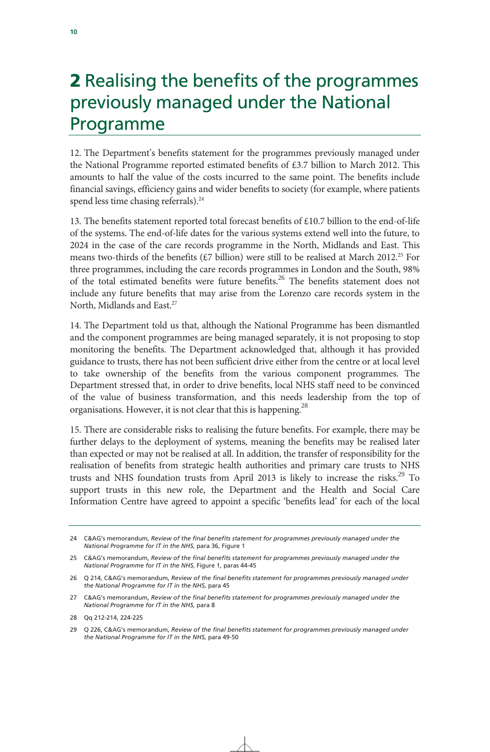### 2 Realising the benefits of the programmes previously managed under the National Programme

12. The Department's benefits statement for the programmes previously managed under the National Programme reported estimated benefits of £3.7 billion to March 2012. This amounts to half the value of the costs incurred to the same point. The benefits include financial savings, efficiency gains and wider benefits to society (for example, where patients spend less time chasing referrals).<sup>24</sup>

13. The benefits statement reported total forecast benefits of £10.7 billion to the end-of-life of the systems. The end-of-life dates for the various systems extend well into the future, to 2024 in the case of the care records programme in the North, Midlands and East. This means two-thirds of the benefits  $(E7 \text{ billion})$  were still to be realised at March 2012.<sup>25</sup> For three programmes, including the care records programmes in London and the South, 98% of the total estimated benefits were future benefits.<sup>26</sup> The benefits statement does not include any future benefits that may arise from the Lorenzo care records system in the North, Midlands and East.<sup>27</sup>

14. The Department told us that, although the National Programme has been dismantled and the component programmes are being managed separately, it is not proposing to stop monitoring the benefits. The Department acknowledged that, although it has provided guidance to trusts, there has not been sufficient drive either from the centre or at local level to take ownership of the benefits from the various component programmes. The Department stressed that, in order to drive benefits, local NHS staff need to be convinced of the value of business transformation, and this needs leadership from the top of organisations. However, it is not clear that this is happening.<sup>28</sup>

15. There are considerable risks to realising the future benefits. For example, there may be further delays to the deployment of systems, meaning the benefits may be realised later than expected or may not be realised at all. In addition, the transfer of responsibility for the realisation of benefits from strategic health authorities and primary care trusts to NHS trusts and NHS foundation trusts from April 2013 is likely to increase the risks.<sup>29</sup> To support trusts in this new role, the Department and the Health and Social Care Information Centre have agreed to appoint a specific 'benefits lead' for each of the local

<sup>24</sup> C&AG's memorandum, *Review of the final benefits statement for programmes previously managed under the National Programme for IT in the NHS*, para 36, Figure 1

<sup>25</sup> C&AG's memorandum, *Review of the final benefits statement for programmes previously managed under the National Programme for IT in the NHS*, Figure 1, paras 44-45

<sup>26</sup> Q 214, C&AG's memorandum, *Review of the final benefits statement for programmes previously managed under the National Programme for IT in the NHS*, para 45

<sup>27</sup> C&AG's memorandum, *Review of the final benefits statement for programmes previously managed under the National Programme for IT in the NHS*, para 8

<sup>28</sup> Qq 212-214, 224-225

<sup>29</sup> Q 226, C&AG's memorandum, *Review of the final benefits statement for programmes previously managed under the National Programme for IT in the NHS*, para 49-50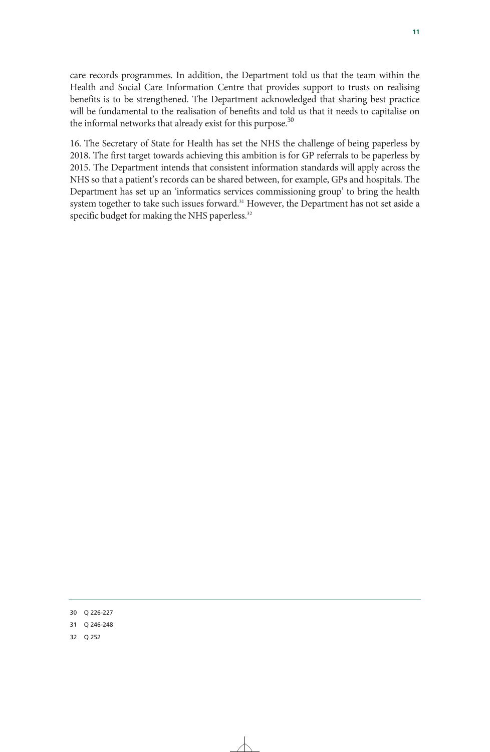care records programmes. In addition, the Department told us that the team within the Health and Social Care Information Centre that provides support to trusts on realising benefits is to be strengthened. The Department acknowledged that sharing best practice will be fundamental to the realisation of benefits and told us that it needs to capitalise on the informal networks that already exist for this purpose. $30$ 

16. The Secretary of State for Health has set the NHS the challenge of being paperless by 2018. The first target towards achieving this ambition is for GP referrals to be paperless by 2015. The Department intends that consistent information standards will apply across the NHS so that a patient's records can be shared between, for example, GPs and hospitals. The Department has set up an 'informatics services commissioning group' to bring the health system together to take such issues forward.<sup>31</sup> However, the Department has not set aside a specific budget for making the NHS paperless.<sup>32</sup>

30 Q 226-227

31 Q 246-248

32 Q 252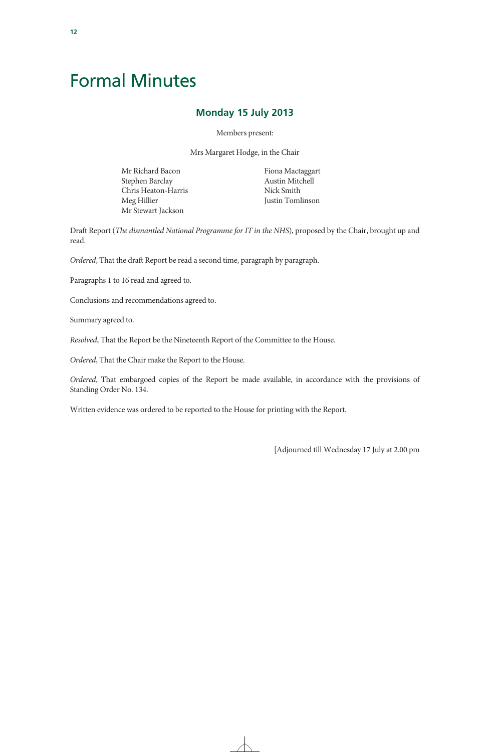## Formal Minutes

#### **Monday 15 July 2013**

Members present:

Mrs Margaret Hodge, in the Chair

Mr Richard Bacon Stephen Barclay Chris Heaton-Harris Meg Hillier Mr Stewart Jackson

Fiona Mactaggart Austin Mitchell Nick Smith Justin Tomlinson

Draft Report (*The dismantled National Programme for IT in the NHS*), proposed by the Chair, brought up and read.

*Ordered*, That the draft Report be read a second time, paragraph by paragraph.

Paragraphs 1 to 16 read and agreed to.

Conclusions and recommendations agreed to.

Summary agreed to.

*Resolved*, That the Report be the Nineteenth Report of the Committee to the House.

*Ordered*, That the Chair make the Report to the House.

*Ordered*, That embargoed copies of the Report be made available, in accordance with the provisions of Standing Order No. 134.

Written evidence was ordered to be reported to the House for printing with the Report.

[Adjourned till Wednesday 17 July at 2.00 pm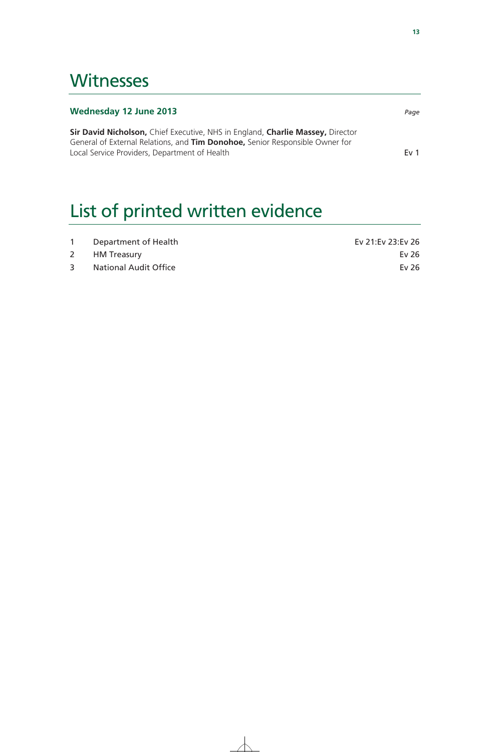## **Witnesses**

| Wednesday 12 June 2013                                                                                                                                         | Page            |
|----------------------------------------------------------------------------------------------------------------------------------------------------------------|-----------------|
| Sir David Nicholson, Chief Executive, NHS in England, Charlie Massey, Director<br>General of External Relations, and Tim Donohoe, Senior Responsible Owner for |                 |
| Local Service Providers, Department of Health                                                                                                                  | Ev <sub>1</sub> |

# List of printed written evidence

|   | Department of Health         | Ev 21:Ev 23:Ev 26 |
|---|------------------------------|-------------------|
|   | 2 HM Treasury                | Ev 26             |
| 3 | <b>National Audit Office</b> | Ev 26             |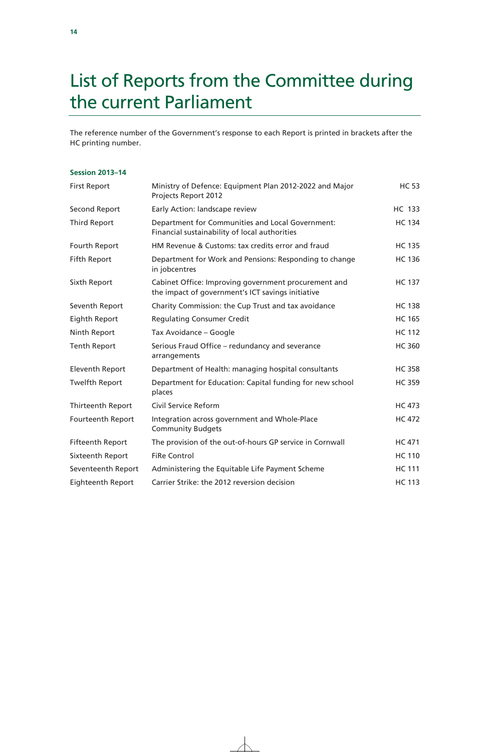# List of Reports from the Committee during the current Parliament

The reference number of the Government's response to each Report is printed in brackets after the HC printing number.

#### **Session 2013–14**

| <b>First Report</b>     | Ministry of Defence: Equipment Plan 2012-2022 and Major<br>Projects Report 2012                           | <b>HC 53</b>  |
|-------------------------|-----------------------------------------------------------------------------------------------------------|---------------|
| Second Report           | Early Action: landscape review                                                                            | <b>HC 133</b> |
| <b>Third Report</b>     | Department for Communities and Local Government:<br>Financial sustainability of local authorities         | <b>HC 134</b> |
| Fourth Report           | HM Revenue & Customs: tax credits error and fraud                                                         | <b>HC 135</b> |
| Fifth Report            | Department for Work and Pensions: Responding to change<br>in jobcentres                                   | <b>HC 136</b> |
| Sixth Report            | Cabinet Office: Improving government procurement and<br>the impact of government's ICT savings initiative | <b>HC 137</b> |
| Seventh Report          | Charity Commission: the Cup Trust and tax avoidance                                                       | <b>HC 138</b> |
| Eighth Report           | <b>Regulating Consumer Credit</b>                                                                         | <b>HC 165</b> |
| Ninth Report            | Tax Avoidance – Google                                                                                    | <b>HC 112</b> |
| <b>Tenth Report</b>     | Serious Fraud Office - redundancy and severance<br>arrangements                                           | <b>HC 360</b> |
| <b>Eleventh Report</b>  | Department of Health: managing hospital consultants                                                       | <b>HC 358</b> |
| <b>Twelfth Report</b>   | Department for Education: Capital funding for new school<br>places                                        | <b>HC 359</b> |
| Thirteenth Report       | Civil Service Reform                                                                                      | <b>HC 473</b> |
| Fourteenth Report       | Integration across government and Whole-Place<br><b>Community Budgets</b>                                 | <b>HC 472</b> |
| <b>Fifteenth Report</b> | The provision of the out-of-hours GP service in Cornwall                                                  | <b>HC 471</b> |
| Sixteenth Report        | <b>FiRe Control</b>                                                                                       | <b>HC 110</b> |
| Seventeenth Report      | Administering the Equitable Life Payment Scheme                                                           | <b>HC 111</b> |
| Eighteenth Report       | Carrier Strike: the 2012 reversion decision                                                               | <b>HC 113</b> |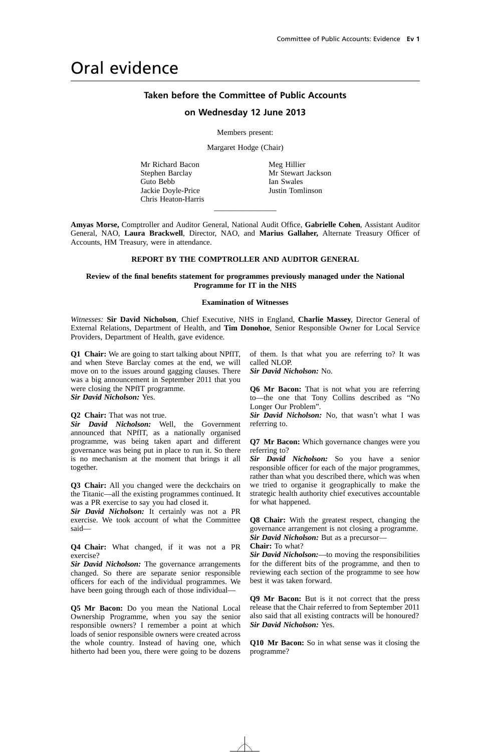### Oral evidence

#### **Taken before the Committee of Public Accounts**

#### **on Wednesday 12 June 2013**

Members present:

Margaret Hodge (Chair)

Mr Richard Bacon Stephen Barclay Guto Bebb Jackie Doyle-Price Chris Heaton-Harris Meg Hillier Mr Stewart Jackson Ian Swales Justin Tomlinson

**Amyas Morse,** Comptroller and Auditor General, National Audit Office, **Gabrielle Cohen**, Assistant Auditor General, NAO, **Laura Brackwell**, Director, NAO, and **Marius Gallaher,** Alternate Treasury Officer of Accounts, HM Treasury, were in attendance.

 $\overline{\phantom{a}}$  , where the contract of  $\overline{\phantom{a}}$ 

#### **REPORT BY THE COMPTROLLER AND AUDITOR GENERAL**

#### **Review of the final benefits statement for programmes previously managed under the National Programme for IT in the NHS**

#### **Examination of Witnesses**

*Witnesses:* **Sir David Nicholson**, Chief Executive, NHS in England, **Charlie Massey**, Director General of External Relations, Department of Health, and **Tim Donohoe**, Senior Responsible Owner for Local Service Providers, Department of Health, gave evidence.

**Q1 Chair:** We are going to start talking about NPfIT, and when Steve Barclay comes at the end, we will move on to the issues around gagging clauses. There was a big announcement in September 2011 that you were closing the NPfIT programme. *Sir David Nicholson:* Yes.

**Q2 Chair:** That was not true.

*Sir David Nicholson:* Well, the Government announced that NPfIT, as a nationally organised programme, was being taken apart and different governance was being put in place to run it. So there is no mechanism at the moment that brings it all together.

**Q3 Chair:** All you changed were the deckchairs on the Titanic—all the existing programmes continued. It was a PR exercise to say you had closed it.

*Sir David Nicholson:* It certainly was not a PR exercise. We took account of what the Committee said—

**Q4 Chair:** What changed, if it was not a PR exercise?

*Sir David Nicholson:* The governance arrangements changed. So there are separate senior responsible officers for each of the individual programmes. We have been going through each of those individual—

**Q5 Mr Bacon:** Do you mean the National Local Ownership Programme, when you say the senior responsible owners? I remember a point at which loads of senior responsible owners were created across the whole country. Instead of having one, which hitherto had been you, there were going to be dozens of them. Is that what you are referring to? It was called NLOP.

*Sir David Nicholson:* No.

**Q6 Mr Bacon:** That is not what you are referring to—the one that Tony Collins described as "No Longer Our Problem".

*Sir David Nicholson:* No, that wasn't what I was referring to.

**Q7 Mr Bacon:** Which governance changes were you referring to?

*Sir David Nicholson:* So you have a senior responsible officer for each of the major programmes, rather than what you described there, which was when we tried to organise it geographically to make the strategic health authority chief executives accountable for what happened.

**Q8 Chair:** With the greatest respect, changing the governance arrangement is not closing a programme. *Sir David Nicholson:* But as a precursor— **Chair:** To what?

*Sir David Nicholson:*—to moving the responsibilities for the different bits of the programme, and then to reviewing each section of the programme to see how best it was taken forward.

**Q9 Mr Bacon:** But is it not correct that the press release that the Chair referred to from September 2011 also said that all existing contracts will be honoured? *Sir David Nicholson:* Yes.

**Q10 Mr Bacon:** So in what sense was it closing the programme?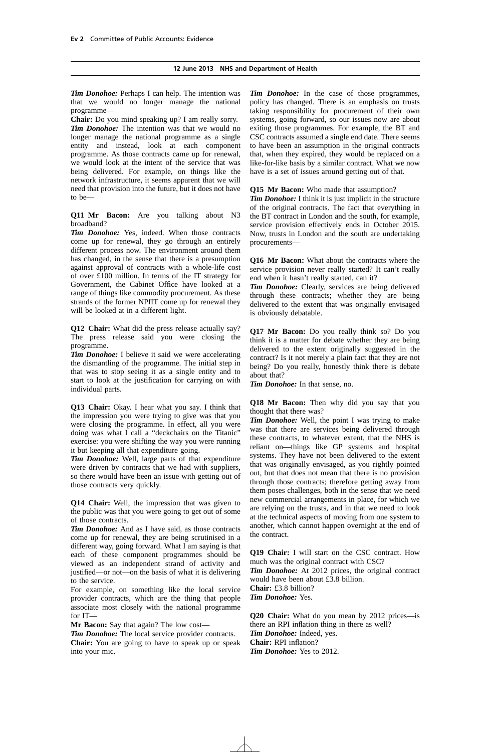*Tim Donohoe:* Perhaps I can help. The intention was that we would no longer manage the national programme—

**Chair:** Do you mind speaking up? I am really sorry. *Tim Donohoe:* The intention was that we would no longer manage the national programme as a single entity and instead, look at each component programme. As those contracts came up for renewal, we would look at the intent of the service that was being delivered. For example, on things like the network infrastructure, it seems apparent that we will need that provision into the future, but it does not have to be—

**Q11 Mr Bacon:** Are you talking about N3 broadband?

*Tim Donohoe:* Yes, indeed. When those contracts come up for renewal, they go through an entirely different process now. The environment around them has changed, in the sense that there is a presumption against approval of contracts with a whole-life cost of over £100 million. In terms of the IT strategy for Government, the Cabinet Office have looked at a range of things like commodity procurement. As these strands of the former NPfIT come up for renewal they will be looked at in a different light.

**Q12 Chair:** What did the press release actually say? The press release said you were closing the programme.

*Tim Donohoe:* I believe it said we were accelerating the dismantling of the programme. The initial step in that was to stop seeing it as a single entity and to start to look at the justification for carrying on with individual parts.

**Q13 Chair:** Okay. I hear what you say. I think that the impression you were trying to give was that you were closing the programme. In effect, all you were doing was what I call a "deckchairs on the Titanic" exercise: you were shifting the way you were running it but keeping all that expenditure going.

*Tim Donohoe:* Well, large parts of that expenditure were driven by contracts that we had with suppliers, so there would have been an issue with getting out of those contracts very quickly.

**Q14 Chair:** Well, the impression that was given to the public was that you were going to get out of some of those contracts.

*Tim Donohoe:* And as I have said, as those contracts come up for renewal, they are being scrutinised in a different way, going forward. What I am saying is that each of these component programmes should be viewed as an independent strand of activity and justified—or not—on the basis of what it is delivering to the service.

For example, on something like the local service provider contracts, which are the thing that people associate most closely with the national programme for IT—

**Mr Bacon:** Say that again? The low cost—

*Tim Donohoe:* The local service provider contracts. **Chair:** You are going to have to speak up or speak into your mic.

*Tim Donohoe:* In the case of those programmes, policy has changed. There is an emphasis on trusts taking responsibility for procurement of their own systems, going forward, so our issues now are about exiting those programmes. For example, the BT and CSC contracts assumed a single end date. There seems to have been an assumption in the original contracts that, when they expired, they would be replaced on a like-for-like basis by a similar contract. What we now have is a set of issues around getting out of that.

**Q15 Mr Bacon:** Who made that assumption?

*Tim Donohoe:* I think it is just implicit in the structure of the original contracts. The fact that everything in the BT contract in London and the south, for example, service provision effectively ends in October 2015. Now, trusts in London and the south are undertaking procurements—

**Q16 Mr Bacon:** What about the contracts where the service provision never really started? It can't really end when it hasn't really started, can it?

*Tim Donohoe:* Clearly, services are being delivered through these contracts; whether they are being delivered to the extent that was originally envisaged is obviously debatable.

**Q17 Mr Bacon:** Do you really think so? Do you think it is a matter for debate whether they are being delivered to the extent originally suggested in the contract? Is it not merely a plain fact that they are not being? Do you really, honestly think there is debate about that?

*Tim Donohoe:* In that sense, no.

**Q18 Mr Bacon:** Then why did you say that you thought that there was?

*Tim Donohoe:* Well, the point I was trying to make was that there are services being delivered through these contracts, to whatever extent, that the NHS is reliant on—things like GP systems and hospital systems. They have not been delivered to the extent that was originally envisaged, as you rightly pointed out, but that does not mean that there is no provision through those contracts; therefore getting away from them poses challenges, both in the sense that we need new commercial arrangements in place, for which we are relying on the trusts, and in that we need to look at the technical aspects of moving from one system to another, which cannot happen overnight at the end of the contract.

**Q19 Chair:** I will start on the CSC contract. How much was the original contract with CSC? *Tim Donohoe:* At 2012 prices, the original contract

would have been about £3.8 billion. **Chair:** £3.8 billion? *Tim Donohoe:* Yes.

**Q20 Chair:** What do you mean by 2012 prices—is there an RPI inflation thing in there as well? *Tim Donohoe:* Indeed, yes. **Chair:** RPI inflation? *Tim Donohoe:* Yes to 2012.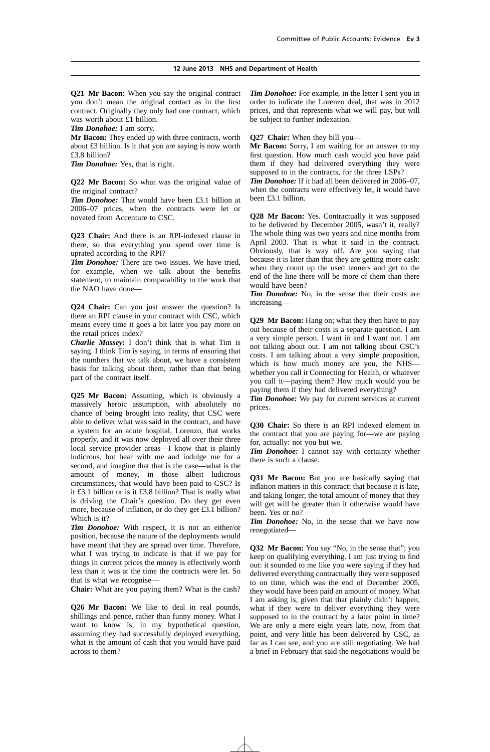**Q21 Mr Bacon:** When you say the original contract you don't mean the original contact as in the first contract. Originally they only had one contract, which was worth about £1 billion.

*Tim Donohoe:* I am sorry.

**Mr Bacon:** They ended up with three contracts, worth about £3 billion. Is it that you are saying is now worth £3.8 billion?

*Tim Donohoe:* Yes, that is right.

**Q22 Mr Bacon:** So what was the original value of the original contract?

*Tim Donohoe:* That would have been £3.1 billion at 2006–07 prices, when the contracts were let or novated from Accenture to CSC.

**Q23 Chair:** And there is an RPI-indexed clause in there, so that everything you spend over time is uprated according to the RPI?

*Tim Donohoe:* There are two issues. We have tried, for example, when we talk about the benefits statement, to maintain comparability to the work that the NAO have done—

**Q24 Chair:** Can you just answer the question? Is there an RPI clause in your contract with CSC, which means every time it goes a bit later you pay more on the retail prices index?

*Charlie Massey:* I don't think that is what Tim is saying. I think Tim is saying, in terms of ensuring that the numbers that we talk about, we have a consistent basis for talking about them, rather than that being part of the contract itself.

**Q25 Mr Bacon:** Assuming, which is obviously a massively heroic assumption, with absolutely no chance of being brought into reality, that CSC were able to deliver what was said in the contract, and have a system for an acute hospital, Lorenzo, that works properly, and it was now deployed all over their three local service provider areas—I know that is plainly ludicrous, but bear with me and indulge me for a second, and imagine that that is the case—what is the amount of money, in those albeit ludicrous circumstances, that would have been paid to CSC? Is it £3.1 billion or is it £3.8 billion? That is really what is driving the Chair's question. Do they get even more, because of inflation, or do they get £3.1 billion? Which is it?

*Tim Donohoe:* With respect, it is not an either/or position, because the nature of the deployments would have meant that they are spread over time. Therefore, what I was trying to indicate is that if we pay for things in current prices the money is effectively worth less than it was at the time the contracts were let. So that is what we recognise—

**Chair:** What are you paying them? What is the cash?

**Q26 Mr Bacon:** We like to deal in real pounds, shillings and pence, rather than funny money. What I want to know is, in my hypothetical question, assuming they had successfully deployed everything, what is the amount of cash that you would have paid across to them?

*Tim Donohoe:* For example, in the letter I sent you in order to indicate the Lorenzo deal, that was in 2012 prices, and that represents what we will pay, but will be subject to further indexation.

**Q27 Chair:** When they bill you—

**Mr Bacon:** Sorry, I am waiting for an answer to my first question. How much cash would you have paid them if they had delivered everything they were supposed to in the contracts, for the three LSPs?

*Tim Donohoe:* If it had all been delivered in 2006–07, when the contracts were effectively let, it would have been £3.1 billion.

**Q28 Mr Bacon:** Yes. Contractually it was supposed to be delivered by December 2005, wasn't it, really? The whole thing was two years and nine months from April 2003. That is what it said in the contract. Obviously, that is way off. Are you saying that because it is later than that they are getting more cash: when they count up the used tenners and get to the end of the line there will be more of them than there would have been?

*Tim Donohoe:* No, in the sense that their costs are increasing—

**Q29 Mr Bacon:** Hang on; what they then have to pay out because of their costs is a separate question. I am a very simple person. I want in and I want out. I am not talking about out. I am not talking about CSC's costs. I am talking about a very simple proposition, which is how much money are you, the NHS whether you call it Connecting for Health, or whatever you call it—paying them? How much would you be paying them if they had delivered everything?

*Tim Donohoe:* We pay for current services at current prices.

**Q30 Chair:** So there is an RPI indexed element in the contract that you are paying for—we are paying for, actually: not you but we.

*Tim Donohoe:* I cannot say with certainty whether there is such a clause.

**Q31 Mr Bacon:** But you are basically saying that inflation matters in this contract: that because it is late, and taking longer, the total amount of money that they will get will be greater than it otherwise would have been. Yes or no?

*Tim Donohoe:* No, in the sense that we have now renegotiated—

**Q32 Mr Bacon:** You say "No, in the sense that"; you keep on qualifying everything. I am just trying to find out: it sounded to me like you were saying if they had delivered everything contractually they were supposed to on time, which was the end of December 2005, they would have been paid an amount of money. What I am asking is, given that that plainly didn't happen, what if they were to deliver everything they were supposed to in the contract by a later point in time? We are only a mere eight years late, now, from that point, and very little has been delivered by CSC, as far as I can see, and you are still negotiating. We had a brief in February that said the negotiations would be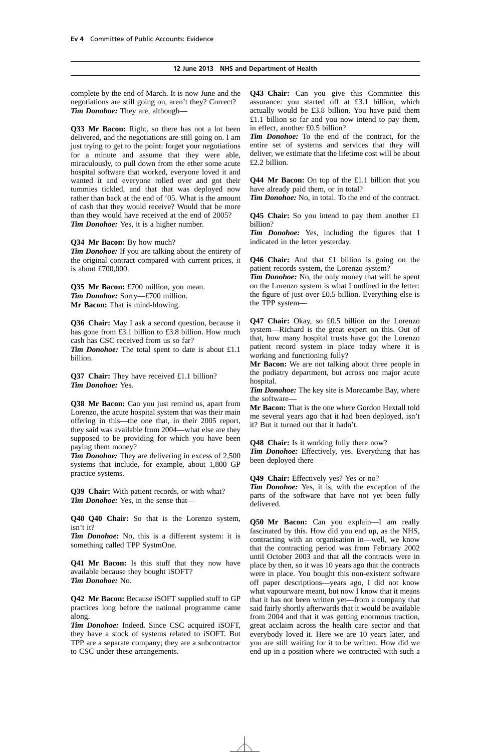complete by the end of March. It is now June and the negotiations are still going on, aren't they? Correct? *Tim Donohoe:* They are, although—

**Q33 Mr Bacon:** Right, so there has not a lot been delivered, and the negotiations are still going on. I am just trying to get to the point: forget your negotiations for a minute and assume that they were able, miraculously, to pull down from the ether some acute hospital software that worked, everyone loved it and wanted it and everyone rolled over and got their tummies tickled, and that that was deployed now rather than back at the end of '05. What is the amount of cash that they would receive? Would that be more than they would have received at the end of 2005? *Tim Donohoe:* Yes, it is a higher number.

**Q34 Mr Bacon:** By how much?

*Tim Donohoe:* If you are talking about the entirety of the original contract compared with current prices, it is about £700,000.

**Q35 Mr Bacon:** £700 million, you mean. *Tim Donohoe:* Sorry—£700 million. **Mr Bacon:** That is mind-blowing.

**Q36 Chair:** May I ask a second question, because it has gone from £3.1 billion to £3.8 billion. How much cash has CSC received from us so far?

*Tim Donohoe:* The total spent to date is about £1.1 billion.

**Q37 Chair:** They have received £1.1 billion? *Tim Donohoe:* Yes.

**Q38 Mr Bacon:** Can you just remind us, apart from Lorenzo, the acute hospital system that was their main offering in this—the one that, in their 2005 report, they said was available from 2004—what else are they supposed to be providing for which you have been paying them money?

*Tim Donohoe:* They are delivering in excess of 2,500 systems that include, for example, about 1,800 GP practice systems.

**Q39 Chair:** With patient records, or with what? *Tim Donohoe:* Yes, in the sense that—

**Q40 Q40 Chair:** So that is the Lorenzo system, isn't it?

*Tim Donohoe:* No, this is a different system: it is something called TPP SystmOne.

**Q41 Mr Bacon:** Is this stuff that they now have available because they bought iSOFT? *Tim Donohoe:* No.

**Q42 Mr Bacon:** Because iSOFT supplied stuff to GP practices long before the national programme came along.

*Tim Donohoe:* Indeed. Since CSC acquired iSOFT, they have a stock of systems related to iSOFT. But TPP are a separate company; they are a subcontractor to CSC under these arrangements.

**Q43 Chair:** Can you give this Committee this assurance: you started off at £3.1 billion, which actually would be £3.8 billion. You have paid them £1.1 billion so far and you now intend to pay them, in effect, another £0.5 billion?

*Tim Donohoe:* To the end of the contract, for the entire set of systems and services that they will deliver, we estimate that the lifetime cost will be about £2.2 billion.

**Q44 Mr Bacon:** On top of the £1.1 billion that you have already paid them, or in total?

*Tim Donohoe:* No, in total. To the end of the contract.

**Q45 Chair:** So you intend to pay them another £1 billion?

*Tim Donohoe:* Yes, including the figures that I indicated in the letter yesterday.

**Q46 Chair:** And that £1 billion is going on the patient records system, the Lorenzo system?

*Tim Donohoe:* No, the only money that will be spent on the Lorenzo system is what I outlined in the letter: the figure of just over £0.5 billion. Everything else is the TPP system—

**Q47 Chair:** Okay, so £0.5 billion on the Lorenzo system—Richard is the great expert on this. Out of that, how many hospital trusts have got the Lorenzo patient record system in place today where it is working and functioning fully?

**Mr Bacon:** We are not talking about three people in the podiatry department, but across one major acute hospital.

*Tim Donohoe:* The key site is Morecambe Bay, where the software—

**Mr Bacon:** That is the one where Gordon Hextall told me several years ago that it had been deployed, isn't it? But it turned out that it hadn't.

**Q48 Chair:** Is it working fully there now?

*Tim Donohoe:* Effectively, yes. Everything that has been deployed there—

**Q49 Chair:** Effectively yes? Yes or no?

*Tim Donohoe:* Yes, it is, with the exception of the parts of the software that have not yet been fully delivered.

**Q50 Mr Bacon:** Can you explain—I am really fascinated by this. How did you end up, as the NHS, contracting with an organisation in—well, we know that the contracting period was from February 2002 until October 2003 and that all the contracts were in place by then, so it was 10 years ago that the contracts were in place. You bought this non-existent software off paper descriptions—years ago, I did not know what vapourware meant, but now I know that it means that it has not been written yet—from a company that said fairly shortly afterwards that it would be available from 2004 and that it was getting enormous traction, great acclaim across the health care sector and that everybody loved it. Here we are 10 years later, and you are still waiting for it to be written. How did we end up in a position where we contracted with such a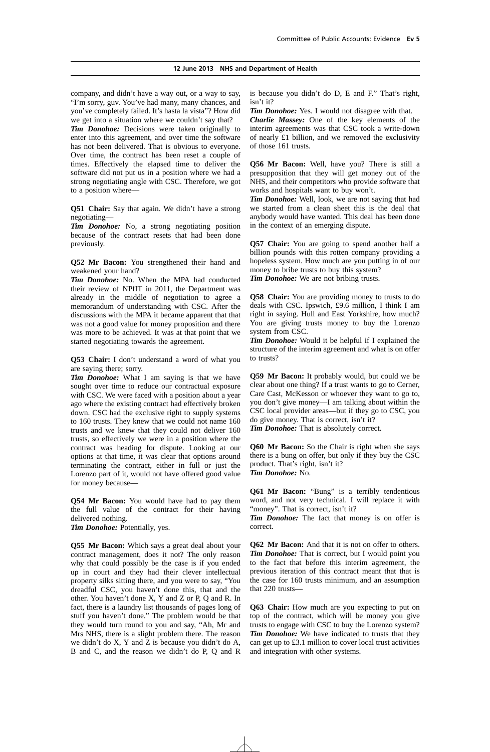company, and didn't have a way out, or a way to say, "I'm sorry, guv. You've had many, many chances, and you've completely failed. It's hasta la vista"? How did we get into a situation where we couldn't say that?

*Tim Donohoe:* Decisions were taken originally to enter into this agreement, and over time the software has not been delivered. That is obvious to everyone. Over time, the contract has been reset a couple of times. Effectively the elapsed time to deliver the software did not put us in a position where we had a strong negotiating angle with CSC. Therefore, we got to a position where—

**Q51 Chair:** Say that again. We didn't have a strong negotiating—

*Tim Donohoe:* No, a strong negotiating position because of the contract resets that had been done previously.

**Q52 Mr Bacon:** You strengthened their hand and weakened your hand?

*Tim Donohoe:* No. When the MPA had conducted their review of NPfIT in 2011, the Department was already in the middle of negotiation to agree a memorandum of understanding with CSC. After the discussions with the MPA it became apparent that that was not a good value for money proposition and there was more to be achieved. It was at that point that we started negotiating towards the agreement.

**Q53 Chair:** I don't understand a word of what you are saying there; sorry.

*Tim Donohoe:* What I am saying is that we have sought over time to reduce our contractual exposure with CSC. We were faced with a position about a year ago where the existing contract had effectively broken down. CSC had the exclusive right to supply systems to 160 trusts. They knew that we could not name 160 trusts and we knew that they could not deliver 160 trusts, so effectively we were in a position where the contract was heading for dispute. Looking at our options at that time, it was clear that options around terminating the contract, either in full or just the Lorenzo part of it, would not have offered good value for money because—

**Q54 Mr Bacon:** You would have had to pay them the full value of the contract for their having delivered nothing.

*Tim Donohoe:* Potentially, yes.

**Q55 Mr Bacon:** Which says a great deal about your contract management, does it not? The only reason why that could possibly be the case is if you ended up in court and they had their clever intellectual property silks sitting there, and you were to say, "You dreadful CSC, you haven't done this, that and the other. You haven't done X, Y and Z or P, Q and R. In fact, there is a laundry list thousands of pages long of stuff you haven't done." The problem would be that they would turn round to you and say, "Ah, Mr and Mrs NHS, there is a slight problem there. The reason we didn't do X, Y and Z is because you didn't do A, B and C, and the reason we didn't do P, Q and R is because you didn't do D, E and F." That's right, isn't it?

*Tim Donohoe:* Yes. I would not disagree with that.

*Charlie Massey:* One of the key elements of the interim agreements was that CSC took a write-down of nearly £1 billion, and we removed the exclusivity of those 161 trusts.

**Q56 Mr Bacon:** Well, have you? There is still a presupposition that they will get money out of the NHS, and their competitors who provide software that works and hospitals want to buy won't.

*Tim Donohoe:* Well, look, we are not saying that had we started from a clean sheet this is the deal that anybody would have wanted. This deal has been done in the context of an emerging dispute.

**Q57 Chair:** You are going to spend another half a billion pounds with this rotten company providing a hopeless system. How much are you putting in of our money to bribe trusts to buy this system? *Tim Donohoe:* We are not bribing trusts.

**Q58 Chair:** You are providing money to trusts to do deals with CSC. Ipswich, £9.6 million, I think I am right in saying. Hull and East Yorkshire, how much? You are giving trusts money to buy the Lorenzo system from CSC.

*Tim Donohoe:* Would it be helpful if I explained the structure of the interim agreement and what is on offer to trusts?

**Q59 Mr Bacon:** It probably would, but could we be clear about one thing? If a trust wants to go to Cerner, Care Cast, McKesson or whoever they want to go to, you don't give money—I am talking about within the CSC local provider areas—but if they go to CSC, you do give money. That is correct, isn't it? *Tim Donohoe:* That is absolutely correct.

**Q60 Mr Bacon:** So the Chair is right when she says there is a bung on offer, but only if they buy the CSC product. That's right, isn't it? *Tim Donohoe:* No.

**Q61 Mr Bacon:** "Bung" is a terribly tendentious word, and not very technical. I will replace it with "money". That is correct, isn't it?

*Tim Donohoe:* The fact that money is on offer is correct.

**Q62 Mr Bacon:** And that it is not on offer to others. *Tim Donohoe:* That is correct, but I would point you to the fact that before this interim agreement, the previous iteration of this contract meant that that is the case for 160 trusts minimum, and an assumption that 220 trusts-

**Q63 Chair:** How much are you expecting to put on top of the contract, which will be money you give trusts to engage with CSC to buy the Lorenzo system? *Tim Donohoe:* We have indicated to trusts that they can get up to £3.1 million to cover local trust activities and integration with other systems.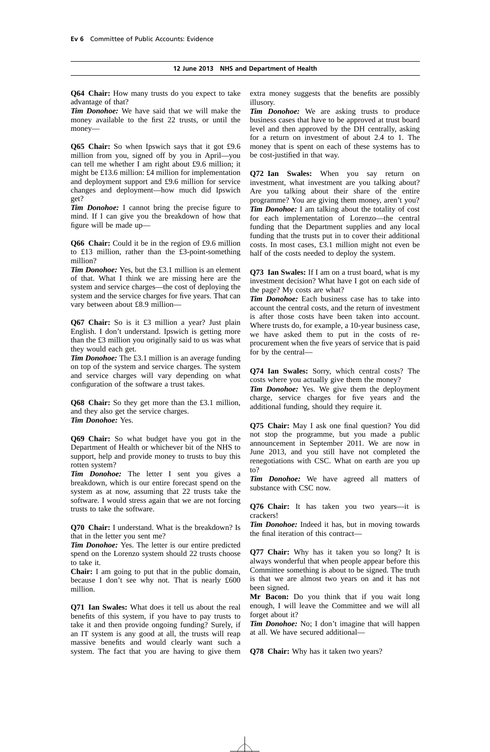**Q64 Chair:** How many trusts do you expect to take advantage of that?

*Tim Donohoe:* We have said that we will make the money available to the first 22 trusts, or until the money—

**Q65 Chair:** So when Ipswich says that it got £9.6 million from you, signed off by you in April—you can tell me whether I am right about £9.6 million; it might be £13.6 million: £4 million for implementation and deployment support and £9.6 million for service changes and deployment—how much did Ipswich get?

*Tim Donohoe:* I cannot bring the precise figure to mind. If I can give you the breakdown of how that figure will be made up—

**Q66 Chair:** Could it be in the region of £9.6 million to £13 million, rather than the £3-point-something million?

*Tim Donohoe:* Yes, but the £3.1 million is an element of that. What I think we are missing here are the system and service charges—the cost of deploying the system and the service charges for five years. That can vary between about £8.9 million—

**Q67 Chair:** So is it £3 million a year? Just plain English. I don't understand. Ipswich is getting more than the £3 million you originally said to us was what they would each get.

*Tim Donohoe:* The £3.1 million is an average funding on top of the system and service charges. The system and service charges will vary depending on what configuration of the software a trust takes.

**Q68 Chair:** So they get more than the £3.1 million, and they also get the service charges. *Tim Donohoe:* Yes.

**Q69 Chair:** So what budget have you got in the Department of Health or whichever bit of the NHS to support, help and provide money to trusts to buy this rotten system?

*Tim Donohoe:* The letter I sent you gives a breakdown, which is our entire forecast spend on the system as at now, assuming that 22 trusts take the software. I would stress again that we are not forcing trusts to take the software.

**Q70 Chair:** I understand. What is the breakdown? Is that in the letter you sent me?

*Tim Donohoe:* Yes. The letter is our entire predicted spend on the Lorenzo system should 22 trusts choose to take it.

**Chair:** I am going to put that in the public domain, because I don't see why not. That is nearly £600 million.

**Q71 Ian Swales:** What does it tell us about the real benefits of this system, if you have to pay trusts to take it and then provide ongoing funding? Surely, if an IT system is any good at all, the trusts will reap massive benefits and would clearly want such a system. The fact that you are having to give them extra money suggests that the benefits are possibly illusory.

*Tim Donohoe:* We are asking trusts to produce business cases that have to be approved at trust board level and then approved by the DH centrally, asking for a return on investment of about 2.4 to 1. The money that is spent on each of these systems has to be cost-justified in that way.

**Q72 Ian Swales:** When you say return on investment, what investment are you talking about? Are you talking about their share of the entire programme? You are giving them money, aren't you? *Tim Donohoe:* I am talking about the totality of cost for each implementation of Lorenzo—the central funding that the Department supplies and any local funding that the trusts put in to cover their additional costs. In most cases, £3.1 million might not even be half of the costs needed to deploy the system.

**Q73 Ian Swales:** If I am on a trust board, what is my investment decision? What have I got on each side of the page? My costs are what?

*Tim Donohoe:* Each business case has to take into account the central costs, and the return of investment is after those costs have been taken into account. Where trusts do, for example, a 10-year business case, we have asked them to put in the costs of reprocurement when the five years of service that is paid for by the central—

**Q74 Ian Swales:** Sorry, which central costs? The costs where you actually give them the money?

*Tim Donohoe:* Yes. We give them the deployment charge, service charges for five years and the additional funding, should they require it.

**Q75 Chair:** May I ask one final question? You did not stop the programme, but you made a public announcement in September 2011. We are now in June 2013, and you still have not completed the renegotiations with CSC. What on earth are you up to?

*Tim Donohoe:* We have agreed all matters of substance with CSC now.

**Q76 Chair:** It has taken you two years—it is crackers!

*Tim Donohoe:* Indeed it has, but in moving towards the final iteration of this contract—

**Q77 Chair:** Why has it taken you so long? It is always wonderful that when people appear before this Committee something is about to be signed. The truth is that we are almost two years on and it has not been signed.

**Mr Bacon:** Do you think that if you wait long enough, I will leave the Committee and we will all forget about it?

*Tim Donohoe:* No; I don't imagine that will happen at all. We have secured additional—

**Q78 Chair:** Why has it taken two years?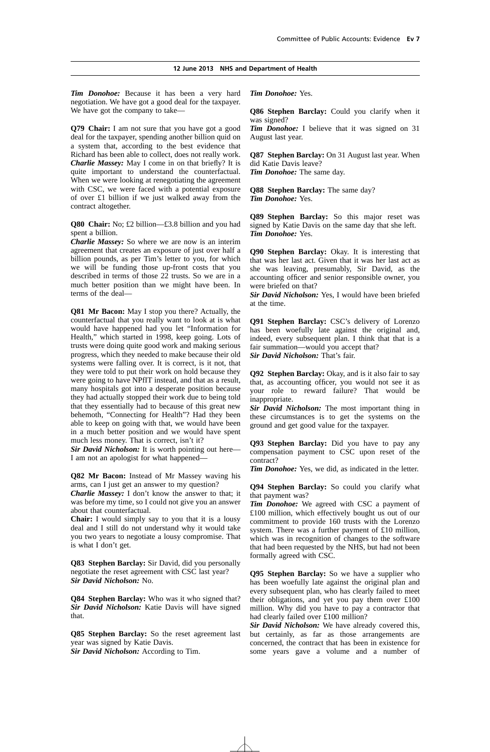*Tim Donohoe:* Because it has been a very hard negotiation. We have got a good deal for the taxpayer. We have got the company to take—

**Q79 Chair:** I am not sure that you have got a good deal for the taxpayer, spending another billion quid on a system that, according to the best evidence that Richard has been able to collect, does not really work. *Charlie Massey:* May I come in on that briefly? It is quite important to understand the counterfactual. When we were looking at renegotiating the agreement with CSC, we were faced with a potential exposure of over £1 billion if we just walked away from the contract altogether.

**Q80 Chair:** No; £2 billion—£3.8 billion and you had spent a billion.

*Charlie Massey:* So where we are now is an interim agreement that creates an exposure of just over half a billion pounds, as per Tim's letter to you, for which we will be funding those up-front costs that you described in terms of those 22 trusts. So we are in a much better position than we might have been. In terms of the deal—

**Q81 Mr Bacon:** May I stop you there? Actually, the counterfactual that you really want to look at is what would have happened had you let "Information for Health," which started in 1998, keep going. Lots of trusts were doing quite good work and making serious progress, which they needed to make because their old systems were falling over. It is correct, is it not, that they were told to put their work on hold because they were going to have NPfIT instead, and that as a result, many hospitals got into a desperate position because they had actually stopped their work due to being told that they essentially had to because of this great new behemoth, "Connecting for Health"? Had they been able to keep on going with that, we would have been in a much better position and we would have spent much less money. That is correct, isn't it?

*Sir David Nicholson:* It is worth pointing out here— I am not an apologist for what happened—

**Q82 Mr Bacon:** Instead of Mr Massey waving his arms, can I just get an answer to my question?

*Charlie Massey:* I don't know the answer to that; it was before my time, so I could not give you an answer about that counterfactual.

**Chair:** I would simply say to you that it is a lousy deal and I still do not understand why it would take you two years to negotiate a lousy compromise. That is what I don't get.

**Q83 Stephen Barclay:** Sir David, did you personally negotiate the reset agreement with CSC last year? *Sir David Nicholson:* No.

**Q84 Stephen Barclay:** Who was it who signed that? *Sir David Nicholson:* Katie Davis will have signed that.

**Q85 Stephen Barclay:** So the reset agreement last year was signed by Katie Davis. *Sir David Nicholson:* According to Tim.

*Tim Donohoe:* Yes.

**Q86 Stephen Barclay:** Could you clarify when it was signed?

*Tim Donohoe:* I believe that it was signed on 31 August last year.

**Q87 Stephen Barclay:** On 31 August last year. When did Katie Davis leave? *Tim Donohoe:* The same day.

**Q88 Stephen Barclay:** The same day?

*Tim Donohoe:* Yes.

**Q89 Stephen Barclay:** So this major reset was signed by Katie Davis on the same day that she left. *Tim Donohoe:* Yes.

**Q90 Stephen Barclay:** Okay. It is interesting that that was her last act. Given that it was her last act as she was leaving, presumably, Sir David, as the accounting officer and senior responsible owner, you were briefed on that?

*Sir David Nicholson:* Yes, I would have been briefed at the time.

**Q91 Stephen Barclay:** CSC's delivery of Lorenzo has been woefully late against the original and, indeed, every subsequent plan. I think that that is a fair summation—would you accept that? *Sir David Nicholson:* That's fair.

**Q92 Stephen Barclay:** Okay, and is it also fair to say that, as accounting officer, you would not see it as your role to reward failure? That would be inappropriate.

*Sir David Nicholson:* The most important thing in these circumstances is to get the systems on the ground and get good value for the taxpayer.

**Q93 Stephen Barclay:** Did you have to pay any compensation payment to CSC upon reset of the contract?

*Tim Donohoe:* Yes, we did, as indicated in the letter.

**Q94 Stephen Barclay:** So could you clarify what that payment was?

*Tim Donohoe:* We agreed with CSC a payment of £100 million, which effectively bought us out of our commitment to provide 160 trusts with the Lorenzo system. There was a further payment of £10 million, which was in recognition of changes to the software that had been requested by the NHS, but had not been formally agreed with CSC.

**Q95 Stephen Barclay:** So we have a supplier who has been woefully late against the original plan and every subsequent plan, who has clearly failed to meet their obligations, and yet you pay them over £100 million. Why did you have to pay a contractor that had clearly failed over £100 million?

*Sir David Nicholson:* We have already covered this, but certainly, as far as those arrangements are concerned, the contract that has been in existence for some years gave a volume and a number of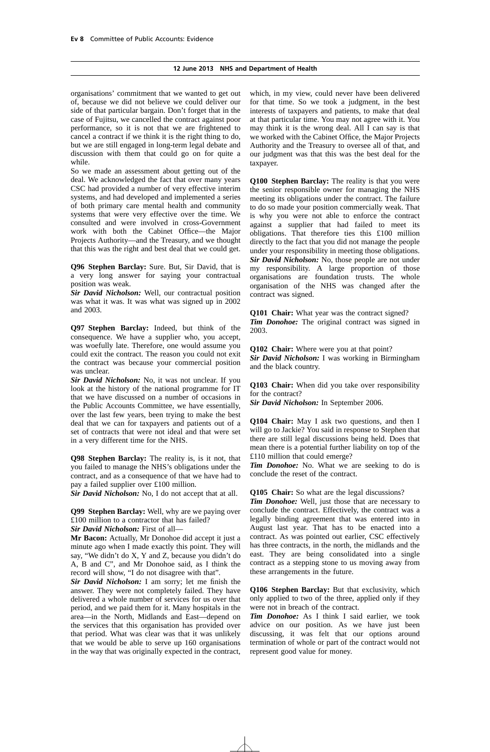organisations' commitment that we wanted to get out of, because we did not believe we could deliver our side of that particular bargain. Don't forget that in the case of Fujitsu, we cancelled the contract against poor performance, so it is not that we are frightened to cancel a contract if we think it is the right thing to do, but we are still engaged in long-term legal debate and discussion with them that could go on for quite a while.

So we made an assessment about getting out of the deal. We acknowledged the fact that over many years CSC had provided a number of very effective interim systems, and had developed and implemented a series of both primary care mental health and community systems that were very effective over the time. We consulted and were involved in cross-Government work with both the Cabinet Office—the Major Projects Authority—and the Treasury, and we thought that this was the right and best deal that we could get.

**Q96 Stephen Barclay:** Sure. But, Sir David, that is a very long answer for saying your contractual position was weak.

*Sir David Nicholson:* Well, our contractual position was what it was. It was what was signed up in 2002 and 2003.

**Q97 Stephen Barclay:** Indeed, but think of the consequence. We have a supplier who, you accept, was woefully late. Therefore, one would assume you could exit the contract. The reason you could not exit the contract was because your commercial position was unclear.

*Sir David Nicholson:* No, it was not unclear. If you look at the history of the national programme for IT that we have discussed on a number of occasions in the Public Accounts Committee, we have essentially, over the last few years, been trying to make the best deal that we can for taxpayers and patients out of a set of contracts that were not ideal and that were set in a very different time for the NHS.

**Q98 Stephen Barclay:** The reality is, is it not, that you failed to manage the NHS's obligations under the contract, and as a consequence of that we have had to pay a failed supplier over £100 million.

*Sir David Nicholson:* No, I do not accept that at all.

**Q99 Stephen Barclay:** Well, why are we paying over £100 million to a contractor that has failed? *Sir David Nicholson:* First of all—

**Mr Bacon:** Actually, Mr Donohoe did accept it just a minute ago when I made exactly this point. They will say, "We didn't do X, Y and Z, because you didn't do A, B and C", and Mr Donohoe said, as I think the record will show, "I do not disagree with that".

*Sir David Nicholson:* I am sorry; let me finish the answer. They were not completely failed. They have delivered a whole number of services for us over that period, and we paid them for it. Many hospitals in the area—in the North, Midlands and East—depend on the services that this organisation has provided over that period. What was clear was that it was unlikely that we would be able to serve up 160 organisations in the way that was originally expected in the contract, which, in my view, could never have been delivered for that time. So we took a judgment, in the best interests of taxpayers and patients, to make that deal at that particular time. You may not agree with it. You may think it is the wrong deal. All I can say is that we worked with the Cabinet Office, the Major Projects Authority and the Treasury to oversee all of that, and our judgment was that this was the best deal for the taxpayer.

**Q100 Stephen Barclay:** The reality is that you were the senior responsible owner for managing the NHS meeting its obligations under the contract. The failure to do so made your position commercially weak. That is why you were not able to enforce the contract against a supplier that had failed to meet its obligations. That therefore ties this £100 million directly to the fact that you did not manage the people under your responsibility in meeting those obligations. *Sir David Nicholson:* No, those people are not under my responsibility. A large proportion of those organisations are foundation trusts. The whole organisation of the NHS was changed after the contract was signed.

**Q101 Chair:** What year was the contract signed? *Tim Donohoe:* The original contract was signed in 2003.

**Q102 Chair:** Where were you at that point? *Sir David Nicholson:* I was working in Birmingham and the black country.

**Q103 Chair:** When did you take over responsibility for the contract?

*Sir David Nicholson:* In September 2006.

**Q104 Chair:** May I ask two questions, and then I will go to Jackie? You said in response to Stephen that there are still legal discussions being held. Does that mean there is a potential further liability on top of the £110 million that could emerge?

*Tim Donohoe:* No. What we are seeking to do is conclude the reset of the contract.

**Q105 Chair:** So what are the legal discussions?

*Tim Donohoe:* Well, just those that are necessary to conclude the contract. Effectively, the contract was a legally binding agreement that was entered into in August last year. That has to be enacted into a contract. As was pointed out earlier, CSC effectively has three contracts, in the north, the midlands and the east. They are being consolidated into a single contract as a stepping stone to us moving away from these arrangements in the future.

**Q106 Stephen Barclay:** But that exclusivity, which only applied to two of the three, applied only if they were not in breach of the contract.

*Tim Donohoe:* As I think I said earlier, we took advice on our position. As we have just been discussing, it was felt that our options around termination of whole or part of the contract would not represent good value for money.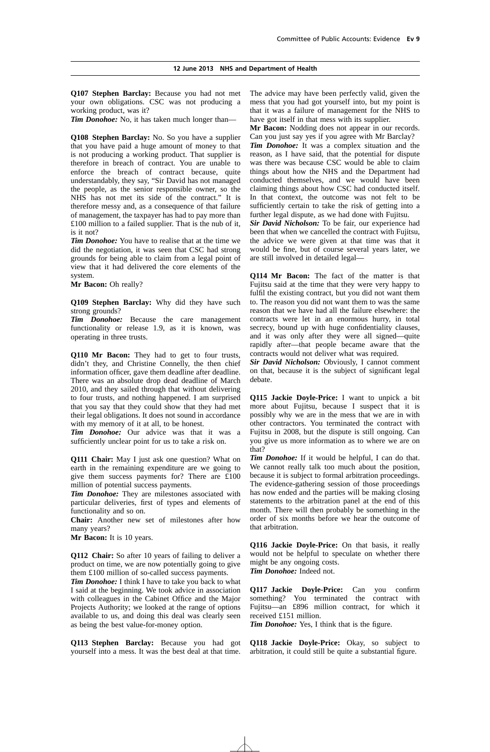**Q107 Stephen Barclay:** Because you had not met your own obligations. CSC was not producing a working product, was it?

*Tim Donohoe:* No, it has taken much longer than—

**Q108 Stephen Barclay:** No. So you have a supplier that you have paid a huge amount of money to that is not producing a working product. That supplier is therefore in breach of contract. You are unable to enforce the breach of contract because, quite understandably, they say, "Sir David has not managed the people, as the senior responsible owner, so the NHS has not met its side of the contract." It is therefore messy and, as a consequence of that failure of management, the taxpayer has had to pay more than £100 million to a failed supplier. That is the nub of it, is it not?

*Tim Donohoe:* You have to realise that at the time we did the negotiation, it was seen that CSC had strong grounds for being able to claim from a legal point of view that it had delivered the core elements of the system.

**Mr Bacon:** Oh really?

**Q109 Stephen Barclay:** Why did they have such strong grounds?

*Tim Donohoe:* Because the care management functionality or release 1.9, as it is known, was operating in three trusts.

**Q110 Mr Bacon:** They had to get to four trusts, didn't they, and Christine Connelly, the then chief information officer, gave them deadline after deadline. There was an absolute drop dead deadline of March 2010, and they sailed through that without delivering to four trusts, and nothing happened. I am surprised that you say that they could show that they had met their legal obligations. It does not sound in accordance with my memory of it at all, to be honest.

*Tim Donohoe:* Our advice was that it was a sufficiently unclear point for us to take a risk on.

**Q111 Chair:** May I just ask one question? What on earth in the remaining expenditure are we going to give them success payments for? There are £100 million of potential success payments.

*Tim Donohoe:* They are milestones associated with particular deliveries, first of types and elements of functionality and so on.

**Chair:** Another new set of milestones after how many years?

**Mr Bacon:** It is 10 years.

**Q112 Chair:** So after 10 years of failing to deliver a product on time, we are now potentially going to give them £100 million of so-called success payments.

*Tim Donohoe:* I think I have to take you back to what I said at the beginning. We took advice in association with colleagues in the Cabinet Office and the Major Projects Authority; we looked at the range of options available to us, and doing this deal was clearly seen as being the best value-for-money option.

**Q113 Stephen Barclay:** Because you had got yourself into a mess. It was the best deal at that time. The advice may have been perfectly valid, given the mess that you had got yourself into, but my point is that it was a failure of management for the NHS to have got itself in that mess with its supplier.

**Mr Bacon:** Nodding does not appear in our records. Can you just say yes if you agree with Mr Barclay?

*Tim Donohoe:* It was a complex situation and the reason, as I have said, that the potential for dispute was there was because CSC would be able to claim things about how the NHS and the Department had conducted themselves, and we would have been claiming things about how CSC had conducted itself. In that context, the outcome was not felt to be sufficiently certain to take the risk of getting into a further legal dispute, as we had done with Fujitsu.

*Sir David Nicholson:* To be fair, our experience had been that when we cancelled the contract with Fujitsu, the advice we were given at that time was that it would be fine, but of course several years later, we are still involved in detailed legal—

**Q114 Mr Bacon:** The fact of the matter is that Fujitsu said at the time that they were very happy to fulfil the existing contract, but you did not want them to. The reason you did not want them to was the same reason that we have had all the failure elsewhere: the contracts were let in an enormous hurry, in total secrecy, bound up with huge confidentiality clauses, and it was only after they were all signed—quite rapidly after—that people became aware that the contracts would not deliver what was required.

*Sir David Nicholson:* Obviously, I cannot comment on that, because it is the subject of significant legal debate.

**Q115 Jackie Doyle-Price:** I want to unpick a bit more about Fujitsu, because I suspect that it is possibly why we are in the mess that we are in with other contractors. You terminated the contract with Fujitsu in 2008, but the dispute is still ongoing. Can you give us more information as to where we are on that?

*Tim Donohoe:* If it would be helpful, I can do that. We cannot really talk too much about the position, because it is subject to formal arbitration proceedings. The evidence-gathering session of those proceedings has now ended and the parties will be making closing statements to the arbitration panel at the end of this month. There will then probably be something in the order of six months before we hear the outcome of that arbitration.

**Q116 Jackie Doyle-Price:** On that basis, it really would not be helpful to speculate on whether there might be any ongoing costs. *Tim Donohoe:* Indeed not.

**Q117 Jackie Doyle-Price:** Can you confirm something? You terminated the contract with Fujitsu—an £896 million contract, for which it received £151 million.

*Tim Donohoe:* Yes, I think that is the figure.

**Q118 Jackie Doyle-Price:** Okay, so subject to arbitration, it could still be quite a substantial figure.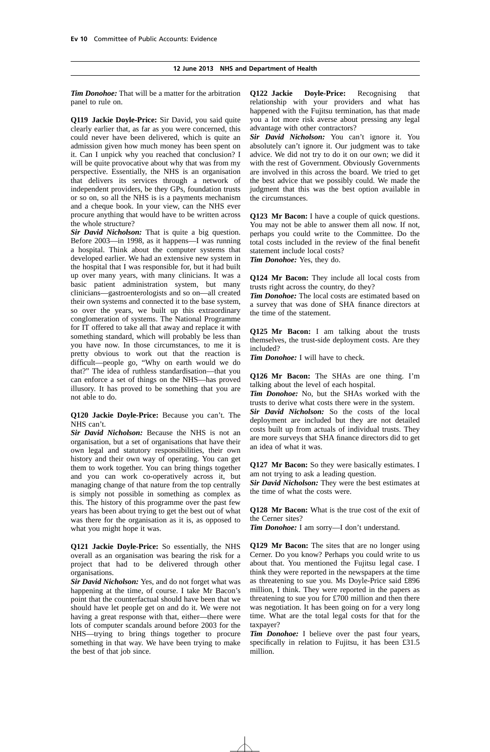*Tim Donohoe:* That will be a matter for the arbitration panel to rule on.

**Q119 Jackie Doyle-Price:** Sir David, you said quite clearly earlier that, as far as you were concerned, this could never have been delivered, which is quite an admission given how much money has been spent on it. Can I unpick why you reached that conclusion? I will be quite provocative about why that was from my perspective. Essentially, the NHS is an organisation that delivers its services through a network of independent providers, be they GPs, foundation trusts or so on, so all the NHS is is a payments mechanism and a cheque book. In your view, can the NHS ever procure anything that would have to be written across the whole structure?

*Sir David Nicholson:* That is quite a big question. Before 2003—in 1998, as it happens—I was running a hospital. Think about the computer systems that developed earlier. We had an extensive new system in the hospital that I was responsible for, but it had built up over many years, with many clinicians. It was a basic patient administration system, but many clinicians—gastroenterologists and so on—all created their own systems and connected it to the base system, so over the years, we built up this extraordinary conglomeration of systems. The National Programme for IT offered to take all that away and replace it with something standard, which will probably be less than you have now. In those circumstances, to me it is pretty obvious to work out that the reaction is difficult—people go, "Why on earth would we do that?" The idea of ruthless standardisation—that you can enforce a set of things on the NHS—has proved illusory. It has proved to be something that you are not able to do.

#### **Q120 Jackie Doyle-Price:** Because you can't. The NHS can't.

*Sir David Nicholson:* Because the NHS is not an organisation, but a set of organisations that have their own legal and statutory responsibilities, their own history and their own way of operating. You can get them to work together. You can bring things together and you can work co-operatively across it, but managing change of that nature from the top centrally is simply not possible in something as complex as this. The history of this programme over the past few years has been about trying to get the best out of what was there for the organisation as it is, as opposed to what you might hope it was.

**Q121 Jackie Doyle-Price:** So essentially, the NHS overall as an organisation was bearing the risk for a project that had to be delivered through other organisations.

*Sir David Nicholson:* Yes, and do not forget what was happening at the time, of course. I take Mr Bacon's point that the counterfactual should have been that we should have let people get on and do it. We were not having a great response with that, either—there were lots of computer scandals around before 2003 for the NHS—trying to bring things together to procure something in that way. We have been trying to make the best of that job since.

**Q122 Jackie Doyle-Price:** Recognising that relationship with your providers and what has happened with the Fujitsu termination, has that made you a lot more risk averse about pressing any legal advantage with other contractors?

*Sir David Nicholson:* You can't ignore it. You absolutely can't ignore it. Our judgment was to take advice. We did not try to do it on our own; we did it with the rest of Government. Obviously Governments are involved in this across the board. We tried to get the best advice that we possibly could. We made the judgment that this was the best option available in the circumstances.

**Q123 Mr Bacon:** I have a couple of quick questions. You may not be able to answer them all now. If not, perhaps you could write to the Committee. Do the total costs included in the review of the final benefit statement include local costs?

*Tim Donohoe:* Yes, they do.

**Q124 Mr Bacon:** They include all local costs from trusts right across the country, do they?

*Tim Donohoe:* The local costs are estimated based on a survey that was done of SHA finance directors at the time of the statement.

**Q125 Mr Bacon:** I am talking about the trusts themselves, the trust-side deployment costs. Are they included?

*Tim Donohoe:* I will have to check.

**Q126 Mr Bacon:** The SHAs are one thing. I'm talking about the level of each hospital.

*Tim Donohoe:* No, but the SHAs worked with the trusts to derive what costs there were in the system. *Sir David Nicholson:* So the costs of the local deployment are included but they are not detailed costs built up from actuals of individual trusts. They are more surveys that SHA finance directors did to get an idea of what it was.

**Q127 Mr Bacon:** So they were basically estimates. I am not trying to ask a leading question.

*Sir David Nicholson:* They were the best estimates at the time of what the costs were.

**Q128 Mr Bacon:** What is the true cost of the exit of the Cerner sites?

*Tim Donohoe:* I am sorry—I don't understand.

**Q129 Mr Bacon:** The sites that are no longer using Cerner. Do you know? Perhaps you could write to us about that. You mentioned the Fujitsu legal case. I think they were reported in the newspapers at the time as threatening to sue you. Ms Doyle-Price said £896 million, I think. They were reported in the papers as threatening to sue you for £700 million and then there was negotiation. It has been going on for a very long time. What are the total legal costs for that for the taxpayer?

*Tim Donohoe:* I believe over the past four years, specifically in relation to Fujitsu, it has been £31.5 million.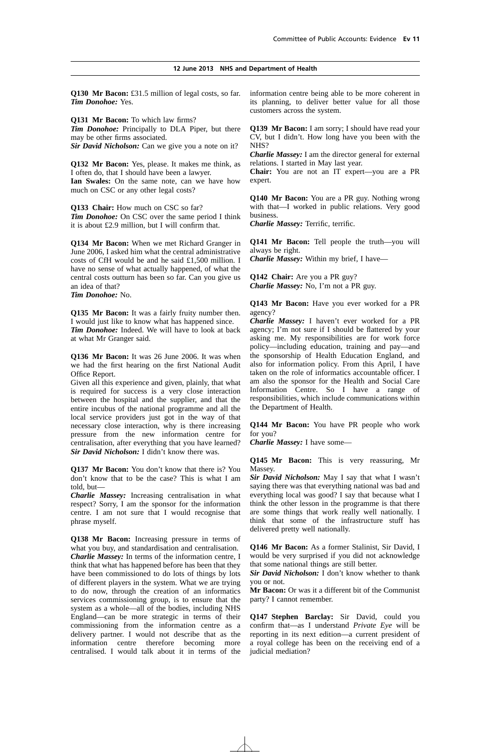**Q130 Mr Bacon:** £31.5 million of legal costs, so far. *Tim Donohoe:* Yes.

**Q131 Mr Bacon:** To which law firms?

*Tim Donohoe:* Principally to DLA Piper, but there may be other firms associated.

*Sir David Nicholson:* Can we give you a note on it?

**Q132 Mr Bacon:** Yes, please. It makes me think, as I often do, that I should have been a lawyer. **Ian Swales:** On the same note, can we have how much on CSC or any other legal costs?

**Q133 Chair:** How much on CSC so far? *Tim Donohoe:* On CSC over the same period I think it is about £2.9 million, but I will confirm that.

**Q134 Mr Bacon:** When we met Richard Granger in June 2006, I asked him what the central administrative costs of CfH would be and he said £1,500 million. I have no sense of what actually happened, of what the central costs outturn has been so far. Can you give us an idea of that?

*Tim Donohoe:* No.

**Q135 Mr Bacon:** It was a fairly fruity number then. I would just like to know what has happened since. *Tim Donohoe:* Indeed. We will have to look at back at what Mr Granger said.

**Q136 Mr Bacon:** It was 26 June 2006. It was when we had the first hearing on the first National Audit Office Report.

Given all this experience and given, plainly, that what is required for success is a very close interaction between the hospital and the supplier, and that the entire incubus of the national programme and all the local service providers just got in the way of that necessary close interaction, why is there increasing pressure from the new information centre for centralisation, after everything that you have learned? *Sir David Nicholson:* I didn't know there was.

**Q137 Mr Bacon:** You don't know that there is? You don't know that to be the case? This is what I am told, but—

*Charlie Massey:* Increasing centralisation in what respect? Sorry, I am the sponsor for the information centre. I am not sure that I would recognise that phrase myself.

**Q138 Mr Bacon:** Increasing pressure in terms of what you buy, and standardisation and centralisation. *Charlie Massey:* In terms of the information centre, I think that what has happened before has been that they have been commissioned to do lots of things by lots of different players in the system. What we are trying to do now, through the creation of an informatics services commissioning group, is to ensure that the system as a whole—all of the bodies, including NHS England—can be more strategic in terms of their commissioning from the information centre as a delivery partner. I would not describe that as the information centre therefore becoming more centralised. I would talk about it in terms of the information centre being able to be more coherent in its planning, to deliver better value for all those customers across the system.

**Q139 Mr Bacon:** I am sorry; I should have read your CV, but I didn't. How long have you been with the NHS?

*Charlie Massey:* I am the director general for external relations. I started in May last year.

**Chair:** You are not an IT expert—you are a PR expert.

**Q140 Mr Bacon:** You are a PR guy. Nothing wrong with that—I worked in public relations. Very good business.

*Charlie Massey:* Terrific, terrific.

**Q141 Mr Bacon:** Tell people the truth—you will always be right.

*Charlie Massey:* Within my brief, I have—

**Q142 Chair:** Are you a PR guy? *Charlie Massey:* No, I'm not a PR guy.

**Q143 Mr Bacon:** Have you ever worked for a PR agency?

*Charlie Massey:* I haven't ever worked for a PR agency; I'm not sure if I should be flattered by your asking me. My responsibilities are for work force policy—including education, training and pay—and the sponsorship of Health Education England, and also for information policy. From this April, I have taken on the role of informatics accountable officer. I am also the sponsor for the Health and Social Care Information Centre. So I have a range of responsibilities, which include communications within the Department of Health.

**Q144 Mr Bacon:** You have PR people who work for you?

*Charlie Massey:* I have some—

**Q145 Mr Bacon:** This is very reassuring, Mr Massey.

*Sir David Nicholson:* May I say that what I wasn't saying there was that everything national was bad and everything local was good? I say that because what I think the other lesson in the programme is that there are some things that work really well nationally. I think that some of the infrastructure stuff has delivered pretty well nationally.

**Q146 Mr Bacon:** As a former Stalinist, Sir David, I would be very surprised if you did not acknowledge that some national things are still better.

*Sir David Nicholson:* I don't know whether to thank you or not.

**Mr Bacon:** Or was it a different bit of the Communist party? I cannot remember.

**Q147 Stephen Barclay:** Sir David, could you confirm that—as I understand *Private Eye* will be reporting in its next edition—a current president of a royal college has been on the receiving end of a judicial mediation?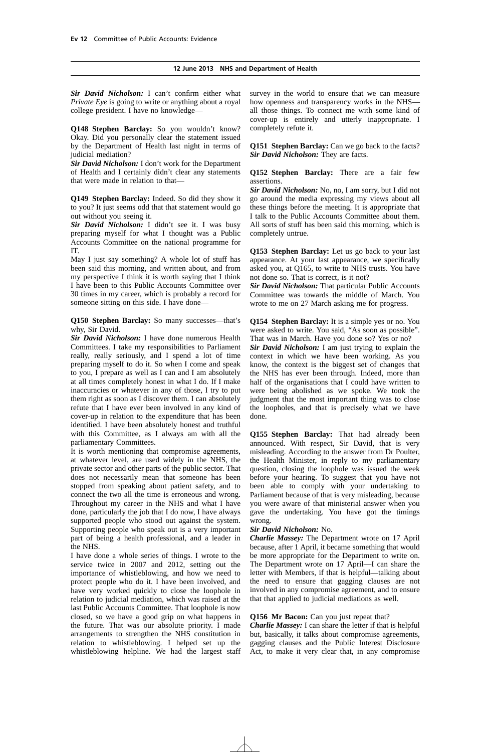*Sir David Nicholson:* I can't confirm either what *Private Eye* is going to write or anything about a royal college president. I have no knowledge—

**Q148 Stephen Barclay:** So you wouldn't know? Okay. Did you personally clear the statement issued by the Department of Health last night in terms of judicial mediation?

*Sir David Nicholson:* I don't work for the Department of Health and I certainly didn't clear any statements that were made in relation to that—

**Q149 Stephen Barclay:** Indeed. So did they show it to you? It just seems odd that that statement would go out without you seeing it.

*Sir David Nicholson:* I didn't see it. I was busy preparing myself for what I thought was a Public Accounts Committee on the national programme for IT.

May I just say something? A whole lot of stuff has been said this morning, and written about, and from my perspective I think it is worth saying that I think I have been to this Public Accounts Committee over 30 times in my career, which is probably a record for someone sitting on this side. I have done—

**Q150 Stephen Barclay:** So many successes—that's why, Sir David.

*Sir David Nicholson:* I have done numerous Health Committees. I take my responsibilities to Parliament really, really seriously, and I spend a lot of time preparing myself to do it. So when I come and speak to you, I prepare as well as I can and I am absolutely at all times completely honest in what I do. If I make inaccuracies or whatever in any of those, I try to put them right as soon as I discover them. I can absolutely refute that I have ever been involved in any kind of cover-up in relation to the expenditure that has been identified. I have been absolutely honest and truthful with this Committee, as I always am with all the parliamentary Committees.

It is worth mentioning that compromise agreements, at whatever level, are used widely in the NHS, the private sector and other parts of the public sector. That does not necessarily mean that someone has been stopped from speaking about patient safety, and to connect the two all the time is erroneous and wrong. Throughout my career in the NHS and what I have done, particularly the job that I do now, I have always supported people who stood out against the system. Supporting people who speak out is a very important part of being a health professional, and a leader in the NHS.

I have done a whole series of things. I wrote to the service twice in 2007 and 2012, setting out the importance of whistleblowing, and how we need to protect people who do it. I have been involved, and have very worked quickly to close the loophole in relation to judicial mediation, which was raised at the last Public Accounts Committee. That loophole is now closed, so we have a good grip on what happens in the future. That was our absolute priority. I made arrangements to strengthen the NHS constitution in relation to whistleblowing. I helped set up the whistleblowing helpline. We had the largest staff survey in the world to ensure that we can measure how openness and transparency works in the NHS all those things. To connect me with some kind of cover-up is entirely and utterly inappropriate. I completely refute it.

**Q151 Stephen Barclay:** Can we go back to the facts? *Sir David Nicholson:* They are facts.

**Q152 Stephen Barclay:** There are a fair few assertions.

*Sir David Nicholson:* No, no, I am sorry, but I did not go around the media expressing my views about all these things before the meeting. It is appropriate that I talk to the Public Accounts Committee about them. All sorts of stuff has been said this morning, which is completely untrue.

**Q153 Stephen Barclay:** Let us go back to your last appearance. At your last appearance, we specifically asked you, at Q165, to write to NHS trusts. You have not done so. That is correct, is it not?

*Sir David Nicholson:* That particular Public Accounts Committee was towards the middle of March. You wrote to me on 27 March asking me for progress.

**Q154 Stephen Barclay:** It is a simple yes or no. You were asked to write. You said, "As soon as possible". That was in March. Have you done so? Yes or no?

*Sir David Nicholson:* I am just trying to explain the context in which we have been working. As you know, the context is the biggest set of changes that the NHS has ever been through. Indeed, more than half of the organisations that  $\overline{I}$  could have written to were being abolished as we spoke. We took the judgment that the most important thing was to close the loopholes, and that is precisely what we have done.

**Q155 Stephen Barclay:** That had already been announced. With respect, Sir David, that is very misleading. According to the answer from Dr Poulter, the Health Minister, in reply to my parliamentary question, closing the loophole was issued the week before your hearing. To suggest that you have not been able to comply with your undertaking to Parliament because of that is very misleading, because you were aware of that ministerial answer when you gave the undertaking. You have got the timings wrong.

#### *Sir David Nicholson:* No.

*Charlie Massey:* The Department wrote on 17 April because, after 1 April, it became something that would be more appropriate for the Department to write on. The Department wrote on 17 April—I can share the letter with Members, if that is helpful—talking about the need to ensure that gagging clauses are not involved in any compromise agreement, and to ensure that that applied to judicial mediations as well.

#### **Q156 Mr Bacon:** Can you just repeat that?

*Charlie Massey:* I can share the letter if that is helpful but, basically, it talks about compromise agreements, gagging clauses and the Public Interest Disclosure Act, to make it very clear that, in any compromise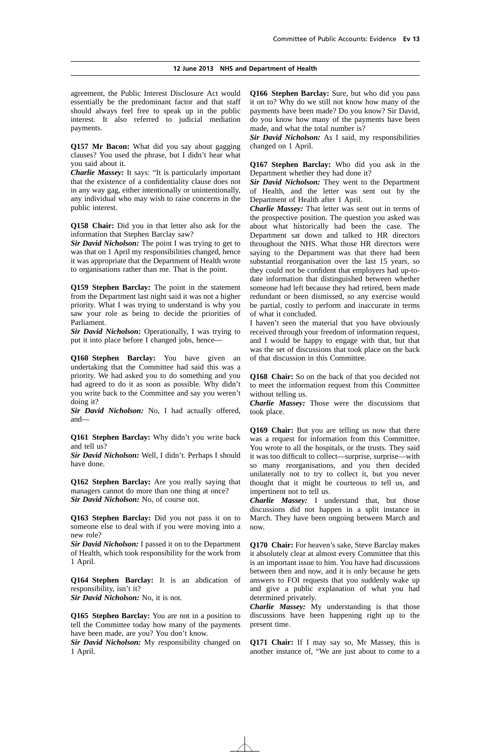agreement, the Public Interest Disclosure Act would essentially be the predominant factor and that staff should always feel free to speak up in the public interest. It also referred to judicial mediation payments.

**Q157 Mr Bacon:** What did you say about gagging clauses? You used the phrase, but I didn't hear what you said about it.

*Charlie Massey:* It says: "It is particularly important that the existence of a confidentiality clause does not in any way gag, either intentionally or unintentionally, any individual who may wish to raise concerns in the public interest.

**Q158 Chair:** Did you in that letter also ask for the information that Stephen Barclay saw?

*Sir David Nicholson:* The point I was trying to get to was that on 1 April my responsibilities changed, hence it was appropriate that the Department of Health wrote to organisations rather than me. That is the point.

**Q159 Stephen Barclay:** The point in the statement from the Department last night said it was not a higher priority. What I was trying to understand is why you saw your role as being to decide the priorities of Parliament.

*Sir David Nicholson:* Operationally, I was trying to put it into place before I changed jobs, hence—

**Q160 Stephen Barclay:** You have given an undertaking that the Committee had said this was a priority. We had asked you to do something and you had agreed to do it as soon as possible. Why didn't you write back to the Committee and say you weren't doing it?

*Sir David Nicholson:* No, I had actually offered, and—

**Q161 Stephen Barclay:** Why didn't you write back and tell us?

*Sir David Nicholson:* Well, I didn't. Perhaps I should have done.

**Q162 Stephen Barclay:** Are you really saying that managers cannot do more than one thing at once? *Sir David Nicholson:* No, of course not.

**Q163 Stephen Barclay:** Did you not pass it on to someone else to deal with if you were moving into a new role?

*Sir David Nicholson:* I passed it on to the Department of Health, which took responsibility for the work from 1 April.

**Q164 Stephen Barclay:** It is an abdication of responsibility, isn't it? *Sir David Nicholson:* No, it is not.

**Q165 Stephen Barclay:** You are not in a position to tell the Committee today how many of the payments have been made, are you? You don't know.

*Sir David Nicholson:* My responsibility changed on 1 April.

**Q166 Stephen Barclay:** Sure, but who did you pass it on to? Why do we still not know how many of the payments have been made? Do you know? Sir David, do you know how many of the payments have been made, and what the total number is?

*Sir David Nicholson:* As I said, my responsibilities changed on 1 April.

**Q167 Stephen Barclay:** Who did you ask in the Department whether they had done it?

*Sir David Nicholson:* They went to the Department of Health, and the letter was sent out by the Department of Health after 1 April.

*Charlie Massey:* That letter was sent out in terms of the prospective position. The question you asked was about what historically had been the case. The Department sat down and talked to HR directors throughout the NHS. What those HR directors were saying to the Department was that there had been substantial reorganisation over the last 15 years, so they could not be confident that employers had up-todate information that distinguished between whether someone had left because they had retired, been made redundant or been dismissed, so any exercise would be partial, costly to perform and inaccurate in terms of what it concluded.

I haven't seen the material that you have obviously received through your freedom of information request, and I would be happy to engage with that, but that was the set of discussions that took place on the back of that discussion in this Committee.

**Q168 Chair:** So on the back of that you decided not to meet the information request from this Committee without telling us.

*Charlie Massey:* Those were the discussions that took place.

**Q169 Chair:** But you are telling us now that there was a request for information from this Committee. You wrote to all the hospitals, or the trusts. They said it was too difficult to collect—surprise, surprise—with so many reorganisations, and you then decided unilaterally not to try to collect it, but you never thought that it might be courteous to tell us, and impertinent not to tell us.

*Charlie Massey:* I understand that, but those discussions did not happen in a split instance in March. They have been ongoing between March and now.

**Q170 Chair:** For heaven's sake, Steve Barclay makes it absolutely clear at almost every Committee that this is an important issue to him. You have had discussions between then and now, and it is only because he gets answers to FOI requests that you suddenly wake up and give a public explanation of what you had determined privately.

*Charlie Massey:* My understanding is that those discussions have been happening right up to the present time.

**Q171 Chair:** If I may say so, Mr Massey, this is another instance of, "We are just about to come to a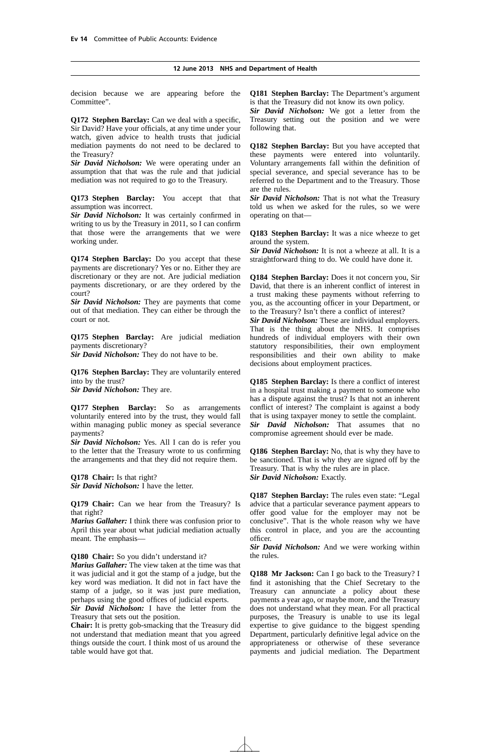decision because we are appearing before the Committee".

**Q172 Stephen Barclay:** Can we deal with a specific, Sir David? Have your officials, at any time under your watch, given advice to health trusts that judicial mediation payments do not need to be declared to the Treasury?

*Sir David Nicholson:* We were operating under an assumption that that was the rule and that judicial mediation was not required to go to the Treasury.

**Q173 Stephen Barclay:** You accept that that assumption was incorrect.

*Sir David Nicholson:* It was certainly confirmed in writing to us by the Treasury in 2011, so I can confirm that those were the arrangements that we were working under.

**Q174 Stephen Barclay:** Do you accept that these payments are discretionary? Yes or no. Either they are discretionary or they are not. Are judicial mediation payments discretionary, or are they ordered by the court?

*Sir David Nicholson:* They are payments that come out of that mediation. They can either be through the court or not.

**Q175 Stephen Barclay:** Are judicial mediation payments discretionary?

*Sir David Nicholson:* They do not have to be.

**Q176 Stephen Barclay:** They are voluntarily entered into by the trust?

*Sir David Nicholson:* They are.

**Q177 Stephen Barclay:** So as arrangements voluntarily entered into by the trust, they would fall within managing public money as special severance payments?

*Sir David Nicholson:* Yes. All I can do is refer you to the letter that the Treasury wrote to us confirming the arrangements and that they did not require them.

**Q178 Chair:** Is that right? *Sir David Nicholson:* I have the letter.

**Q179 Chair:** Can we hear from the Treasury? Is that right?

*Marius Gallaher:* I think there was confusion prior to April this year about what judicial mediation actually meant. The emphasis—

**Q180 Chair:** So you didn't understand it?

*Marius Gallaher:* The view taken at the time was that it was judicial and it got the stamp of a judge, but the key word was mediation. It did not in fact have the stamp of a judge, so it was just pure mediation, perhaps using the good offices of judicial experts.

*Sir David Nicholson:* I have the letter from the Treasury that sets out the position.

**Chair:** It is pretty gob-smacking that the Treasury did not understand that mediation meant that you agreed things outside the court. I think most of us around the table would have got that.

**Q181 Stephen Barclay:** The Department's argument is that the Treasury did not know its own policy.

*Sir David Nicholson:* We got a letter from the Treasury setting out the position and we were following that.

**Q182 Stephen Barclay:** But you have accepted that these payments were entered into voluntarily. Voluntary arrangements fall within the definition of special severance, and special severance has to be referred to the Department and to the Treasury. Those are the rules.

*Sir David Nicholson:* That is not what the Treasury told us when we asked for the rules, so we were operating on that—

**Q183 Stephen Barclay:** It was a nice wheeze to get around the system.

*Sir David Nicholson:* It is not a wheeze at all. It is a straightforward thing to do. We could have done it.

**Q184 Stephen Barclay:** Does it not concern you, Sir David, that there is an inherent conflict of interest in a trust making these payments without referring to you, as the accounting officer in your Department, or to the Treasury? Isn't there a conflict of interest?

*Sir David Nicholson:* These are individual employers. That is the thing about the NHS. It comprises hundreds of individual employers with their own statutory responsibilities, their own employment responsibilities and their own ability to make decisions about employment practices.

**Q185 Stephen Barclay:** Is there a conflict of interest in a hospital trust making a payment to someone who has a dispute against the trust? Is that not an inherent conflict of interest? The complaint is against a body that is using taxpayer money to settle the complaint. *Sir David Nicholson:* That assumes that no compromise agreement should ever be made.

**Q186 Stephen Barclay:** No, that is why they have to be sanctioned. That is why they are signed off by the Treasury. That is why the rules are in place. *Sir David Nicholson:* Exactly.

**Q187 Stephen Barclay:** The rules even state: "Legal advice that a particular severance payment appears to offer good value for the employer may not be conclusive". That is the whole reason why we have this control in place, and you are the accounting officer.

*Sir David Nicholson:* And we were working within the rules.

**Q188 Mr Jackson:** Can I go back to the Treasury? I find it astonishing that the Chief Secretary to the Treasury can annunciate a policy about these payments a year ago, or maybe more, and the Treasury does not understand what they mean. For all practical purposes, the Treasury is unable to use its legal expertise to give guidance to the biggest spending Department, particularly definitive legal advice on the appropriateness or otherwise of these severance payments and judicial mediation. The Department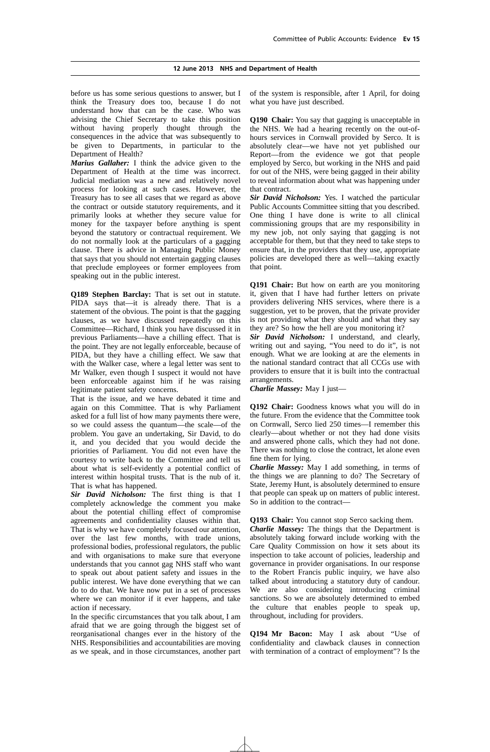before us has some serious questions to answer, but I think the Treasury does too, because I do not understand how that can be the case. Who was advising the Chief Secretary to take this position without having properly thought through the consequences in the advice that was subsequently to be given to Departments, in particular to the Department of Health?

*Marius Gallaher:* I think the advice given to the Department of Health at the time was incorrect. Judicial mediation was a new and relatively novel process for looking at such cases. However, the Treasury has to see all cases that we regard as above the contract or outside statutory requirements, and it primarily looks at whether they secure value for money for the taxpayer before anything is spent beyond the statutory or contractual requirement. We do not normally look at the particulars of a gagging clause. There is advice in Managing Public Money that says that you should not entertain gagging clauses that preclude employees or former employees from speaking out in the public interest.

**Q189 Stephen Barclay:** That is set out in statute. PIDA says that—it is already there. That is a statement of the obvious. The point is that the gagging clauses, as we have discussed repeatedly on this Committee—Richard, I think you have discussed it in previous Parliaments—have a chilling effect. That is the point. They are not legally enforceable, because of PIDA, but they have a chilling effect. We saw that with the Walker case, where a legal letter was sent to Mr Walker, even though I suspect it would not have been enforceable against him if he was raising legitimate patient safety concerns.

That is the issue, and we have debated it time and again on this Committee. That is why Parliament asked for a full list of how many payments there were, so we could assess the quantum—the scale—of the problem. You gave an undertaking, Sir David, to do it, and you decided that you would decide the priorities of Parliament. You did not even have the courtesy to write back to the Committee and tell us about what is self-evidently a potential conflict of interest within hospital trusts. That is the nub of it. That is what has happened.

*Sir David Nicholson:* The first thing is that I completely acknowledge the comment you make about the potential chilling effect of compromise agreements and confidentiality clauses within that. That is why we have completely focused our attention, over the last few months, with trade unions, professional bodies, professional regulators, the public and with organisations to make sure that everyone understands that you cannot gag NHS staff who want to speak out about patient safety and issues in the public interest. We have done everything that we can do to do that. We have now put in a set of processes where we can monitor if it ever happens, and take action if necessary.

In the specific circumstances that you talk about, I am afraid that we are going through the biggest set of reorganisational changes ever in the history of the NHS. Responsibilities and accountabilities are moving as we speak, and in those circumstances, another part of the system is responsible, after 1 April, for doing what you have just described.

**Q190 Chair:** You say that gagging is unacceptable in the NHS. We had a hearing recently on the out-ofhours services in Cornwall provided by Serco. It is absolutely clear—we have not yet published our Report—from the evidence we got that people employed by Serco, but working in the NHS and paid for out of the NHS, were being gagged in their ability to reveal information about what was happening under that contract.

*Sir David Nicholson:* Yes. I watched the particular Public Accounts Committee sitting that you described. One thing I have done is write to all clinical commissioning groups that are my responsibility in my new job, not only saying that gagging is not acceptable for them, but that they need to take steps to ensure that, in the providers that they use, appropriate policies are developed there as well—taking exactly that point.

**Q191 Chair:** But how on earth are you monitoring it, given that I have had further letters on private providers delivering NHS services, where there is a suggestion, yet to be proven, that the private provider is not providing what they should and what they say they are? So how the hell are you monitoring it?

*Sir David Nicholson:* I understand, and clearly, writing out and saying, "You need to do it", is not enough. What we are looking at are the elements in the national standard contract that all CCGs use with providers to ensure that it is built into the contractual arrangements.

*Charlie Massey:* May I just—

**Q192 Chair:** Goodness knows what you will do in the future. From the evidence that the Committee took on Cornwall, Serco lied 250 times—I remember this clearly—about whether or not they had done visits and answered phone calls, which they had not done. There was nothing to close the contract, let alone even fine them for lying.

*Charlie Massey:* May I add something, in terms of the things we are planning to do? The Secretary of State, Jeremy Hunt, is absolutely determined to ensure that people can speak up on matters of public interest. So in addition to the contract—

**Q193 Chair:** You cannot stop Serco sacking them.

*Charlie Massey:* The things that the Department is absolutely taking forward include working with the Care Quality Commission on how it sets about its inspection to take account of policies, leadership and governance in provider organisations. In our response to the Robert Francis public inquiry, we have also talked about introducing a statutory duty of candour. We are also considering introducing criminal sanctions. So we are absolutely determined to embed the culture that enables people to speak up, throughout, including for providers.

**Q194 Mr Bacon:** May I ask about "Use of confidentiality and clawback clauses in connection with termination of a contract of employment"? Is the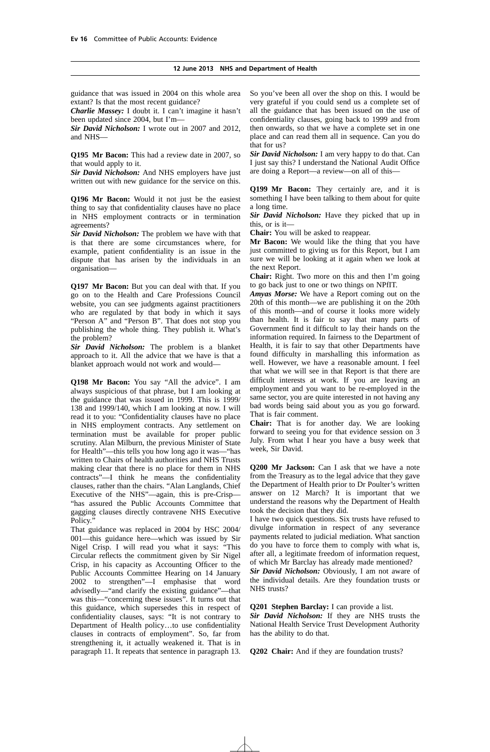guidance that was issued in 2004 on this whole area extant? Is that the most recent guidance?

*Charlie Massey:* I doubt it. I can't imagine it hasn't been updated since 2004, but I'm—

*Sir David Nicholson:* I wrote out in 2007 and 2012, and NHS—

**Q195 Mr Bacon:** This had a review date in 2007, so that would apply to it.

*Sir David Nicholson:* And NHS employers have just written out with new guidance for the service on this.

**Q196 Mr Bacon:** Would it not just be the easiest thing to say that confidentiality clauses have no place in NHS employment contracts or in termination agreements?

*Sir David Nicholson:* The problem we have with that is that there are some circumstances where, for example, patient confidentiality is an issue in the dispute that has arisen by the individuals in an organisation—

**Q197 Mr Bacon:** But you can deal with that. If you go on to the Health and Care Professions Council website, you can see judgments against practitioners who are regulated by that body in which it says "Person A" and "Person B". That does not stop you publishing the whole thing. They publish it. What's the problem?

*Sir David Nicholson:* The problem is a blanket approach to it. All the advice that we have is that a blanket approach would not work and would—

**Q198 Mr Bacon:** You say "All the advice". I am always suspicious of that phrase, but I am looking at the guidance that was issued in 1999. This is 1999/ 138 and 1999/140, which I am looking at now. I will read it to you: "Confidentiality clauses have no place in NHS employment contracts. Any settlement on termination must be available for proper public scrutiny. Alan Milburn, the previous Minister of State for Health"—this tells you how long ago it was—"has written to Chairs of health authorities and NHS Trusts making clear that there is no place for them in NHS contracts"—I think he means the confidentiality clauses, rather than the chairs. "Alan Langlands, Chief Executive of the NHS"—again, this is pre-Crisp— "has assured the Public Accounts Committee that gagging clauses directly contravene NHS Executive Policy.

That guidance was replaced in 2004 by HSC 2004/ 001—this guidance here—which was issued by Sir Nigel Crisp. I will read you what it says: "This Circular reflects the commitment given by Sir Nigel Crisp, in his capacity as Accounting Officer to the Public Accounts Committee Hearing on 14 January 2002 to strengthen"—I emphasise that word advisedly—"and clarify the existing guidance"—that was this—"concerning these issues". It turns out that this guidance, which supersedes this in respect of confidentiality clauses, says: "It is not contrary to Department of Health policy…to use confidentiality clauses in contracts of employment". So, far from strengthening it, it actually weakened it. That is in paragraph 11. It repeats that sentence in paragraph 13. So you've been all over the shop on this. I would be very grateful if you could send us a complete set of all the guidance that has been issued on the use of confidentiality clauses, going back to 1999 and from then onwards, so that we have a complete set in one place and can read them all in sequence. Can you do that for us?

*Sir David Nicholson:* I am very happy to do that. Can I just say this? I understand the National Audit Office are doing a Report—a review—on all of this—

**Q199 Mr Bacon:** They certainly are, and it is something I have been talking to them about for quite a long time.

*Sir David Nicholson:* Have they picked that up in this, or is it—

**Chair:** You will be asked to reappear.

**Mr Bacon:** We would like the thing that you have just committed to giving us for this Report, but I am sure we will be looking at it again when we look at the next Report.

**Chair:** Right. Two more on this and then I'm going to go back just to one or two things on NPfIT.

*Amyas Morse:* We have a Report coming out on the 20th of this month—we are publishing it on the 20th of this month—and of course it looks more widely than health. It is fair to say that many parts of Government find it difficult to lay their hands on the information required. In fairness to the Department of Health, it is fair to say that other Departments have found difficulty in marshalling this information as well. However, we have a reasonable amount. I feel that what we will see in that Report is that there are difficult interests at work. If you are leaving an employment and you want to be re-employed in the same sector, you are quite interested in not having any bad words being said about you as you go forward. That is fair comment.

**Chair:** That is for another day. We are looking forward to seeing you for that evidence session on 3 July. From what I hear you have a busy week that week, Sir David.

**Q200 Mr Jackson:** Can I ask that we have a note from the Treasury as to the legal advice that they gave the Department of Health prior to Dr Poulter's written answer on 12 March? It is important that we understand the reasons why the Department of Health took the decision that they did.

I have two quick questions. Six trusts have refused to divulge information in respect of any severance payments related to judicial mediation. What sanction do you have to force them to comply with what is, after all, a legitimate freedom of information request, of which Mr Barclay has already made mentioned?

*Sir David Nicholson:* Obviously, I am not aware of the individual details. Are they foundation trusts or NHS trusts?

**Q201 Stephen Barclay:** I can provide a list.

*Sir David Nicholson:* If they are NHS trusts the National Health Service Trust Development Authority has the ability to do that.

**Q202 Chair:** And if they are foundation trusts?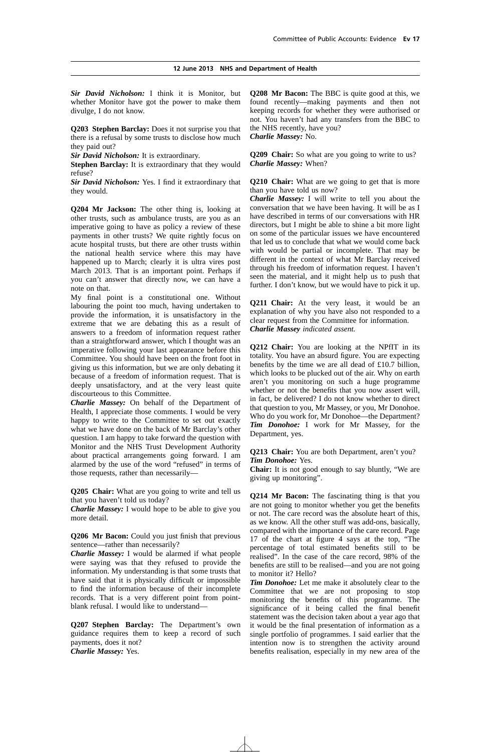*Sir David Nicholson:* I think it is Monitor, but whether Monitor have got the power to make them divulge, I do not know.

**Q203 Stephen Barclay:** Does it not surprise you that there is a refusal by some trusts to disclose how much they paid out?

*Sir David Nicholson:* It is extraordinary.

**Stephen Barclay:** It is extraordinary that they would refuse?

*Sir David Nicholson:* Yes. I find it extraordinary that they would.

**Q204 Mr Jackson:** The other thing is, looking at other trusts, such as ambulance trusts, are you as an imperative going to have as policy a review of these payments in other trusts? We quite rightly focus on acute hospital trusts, but there are other trusts within the national health service where this may have happened up to March; clearly it is ultra vires post March 2013. That is an important point. Perhaps if you can't answer that directly now, we can have a note on that.

My final point is a constitutional one. Without labouring the point too much, having undertaken to provide the information, it is unsatisfactory in the extreme that we are debating this as a result of answers to a freedom of information request rather than a straightforward answer, which I thought was an imperative following your last appearance before this Committee. You should have been on the front foot in giving us this information, but we are only debating it because of a freedom of information request. That is deeply unsatisfactory, and at the very least quite discourteous to this Committee.

*Charlie Massey:* On behalf of the Department of Health, I appreciate those comments. I would be very happy to write to the Committee to set out exactly what we have done on the back of Mr Barclay's other question. I am happy to take forward the question with Monitor and the NHS Trust Development Authority about practical arrangements going forward. I am alarmed by the use of the word "refused" in terms of those requests, rather than necessarily—

**Q205 Chair:** What are you going to write and tell us that you haven't told us today?

*Charlie Massey:* I would hope to be able to give you more detail.

**Q206 Mr Bacon:** Could you just finish that previous sentence—rather than necessarily?

*Charlie Massey:* I would be alarmed if what people were saying was that they refused to provide the information. My understanding is that some trusts that have said that it is physically difficult or impossible to find the information because of their incomplete records. That is a very different point from pointblank refusal. I would like to understand—

**Q207 Stephen Barclay:** The Department's own guidance requires them to keep a record of such payments, does it not? *Charlie Massey:* Yes.

**Q208 Mr Bacon:** The BBC is quite good at this, we found recently—making payments and then not keeping records for whether they were authorised or not. You haven't had any transfers from the BBC to the NHS recently, have you? *Charlie Massey:* No.

**Q209 Chair:** So what are you going to write to us? *Charlie Massey:* When?

**Q210 Chair:** What are we going to get that is more than you have told us now?

*Charlie Massey:* I will write to tell you about the conversation that we have been having. It will be as I have described in terms of our conversations with HR directors, but I might be able to shine a bit more light on some of the particular issues we have encountered that led us to conclude that what we would come back with would be partial or incomplete. That may be different in the context of what Mr Barclay received through his freedom of information request. I haven't seen the material, and it might help us to push that further. I don't know, but we would have to pick it up.

**Q211 Chair:** At the very least, it would be an explanation of why you have also not responded to a clear request from the Committee for information. *Charlie Massey indicated assent.*

**Q212 Chair:** You are looking at the NPfIT in its totality. You have an absurd figure. You are expecting benefits by the time we are all dead of £10.7 billion, which looks to be plucked out of the air. Why on earth aren't you monitoring on such a huge programme whether or not the benefits that you now assert will, in fact, be delivered? I do not know whether to direct that question to you, Mr Massey, or you, Mr Donohoe. Who do you work for, Mr Donohoe—the Department? *Tim Donohoe:* I work for Mr Massey, for the Department, yes.

**Q213 Chair:** You are both Department, aren't you? *Tim Donohoe:* Yes.

**Chair:** It is not good enough to say bluntly, "We are giving up monitoring".

**Q214 Mr Bacon:** The fascinating thing is that you are not going to monitor whether you get the benefits or not. The care record was the absolute heart of this, as we know. All the other stuff was add-ons, basically, compared with the importance of the care record. Page 17 of the chart at figure 4 says at the top, "The percentage of total estimated benefits still to be realised". In the case of the care record, 98% of the benefits are still to be realised—and you are not going to monitor it? Hello?

*Tim Donohoe:* Let me make it absolutely clear to the Committee that we are not proposing to stop monitoring the benefits of this programme. The significance of it being called the final benefit statement was the decision taken about a year ago that it would be the final presentation of information as a single portfolio of programmes. I said earlier that the intention now is to strengthen the activity around benefits realisation, especially in my new area of the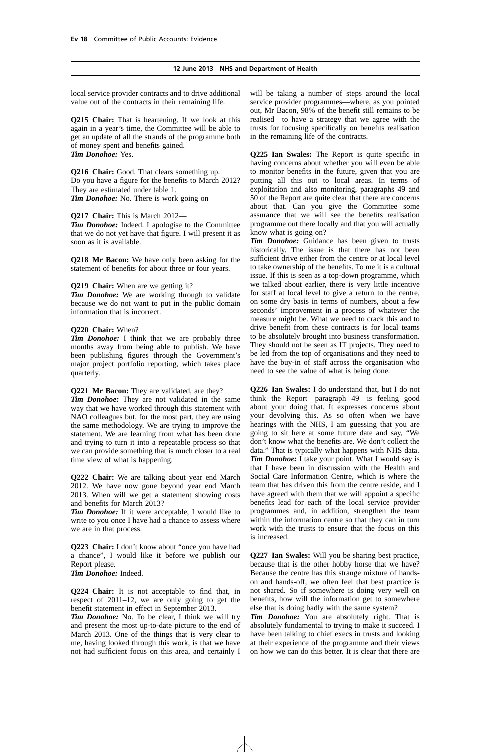local service provider contracts and to drive additional value out of the contracts in their remaining life.

**Q215 Chair:** That is heartening. If we look at this again in a year's time, the Committee will be able to get an update of all the strands of the programme both of money spent and benefits gained. *Tim Donohoe:* Yes.

**Q216 Chair:** Good. That clears something up. Do you have a figure for the benefits to March 2012? They are estimated under table 1. *Tim Donohoe:* No. There is work going on—

#### **Q217 Chair:** This is March 2012—

*Tim Donohoe:* Indeed. I apologise to the Committee that we do not yet have that figure. I will present it as soon as it is available.

**Q218 Mr Bacon:** We have only been asking for the statement of benefits for about three or four years.

**Q219 Chair:** When are we getting it?

*Tim Donohoe:* We are working through to validate because we do not want to put in the public domain information that is incorrect.

#### **Q220 Chair:** When?

*Tim Donohoe:* I think that we are probably three months away from being able to publish. We have been publishing figures through the Government's major project portfolio reporting, which takes place quarterly.

**Q221 Mr Bacon:** They are validated, are they?

*Tim Donohoe:* They are not validated in the same way that we have worked through this statement with NAO colleagues but, for the most part, they are using the same methodology. We are trying to improve the statement. We are learning from what has been done and trying to turn it into a repeatable process so that we can provide something that is much closer to a real time view of what is happening.

**Q222 Chair:** We are talking about year end March 2012. We have now gone beyond year end March 2013. When will we get a statement showing costs and benefits for March 2013?

*Tim Donohoe:* If it were acceptable, I would like to write to you once I have had a chance to assess where we are in that process.

**Q223 Chair:** I don't know about "once you have had a chance", I would like it before we publish our Report please. *Tim Donohoe:* Indeed.

**Q224 Chair:** It is not acceptable to find that, in respect of  $2011-12$ , we are only going to get the benefit statement in effect in September 2013.

*Tim Donohoe:* No. To be clear, I think we will try and present the most up-to-date picture to the end of March 2013. One of the things that is very clear to me, having looked through this work, is that we have not had sufficient focus on this area, and certainly I will be taking a number of steps around the local service provider programmes—where, as you pointed out, Mr Bacon, 98% of the benefit still remains to be realised—to have a strategy that we agree with the trusts for focusing specifically on benefits realisation in the remaining life of the contracts.

**Q225 Ian Swales:** The Report is quite specific in having concerns about whether you will even be able to monitor benefits in the future, given that you are putting all this out to local areas. In terms of exploitation and also monitoring, paragraphs 49 and 50 of the Report are quite clear that there are concerns about that. Can you give the Committee some assurance that we will see the benefits realisation programme out there locally and that you will actually know what is going on?

*Tim Donohoe:* Guidance has been given to trusts historically. The issue is that there has not been sufficient drive either from the centre or at local level to take ownership of the benefits. To me it is a cultural issue. If this is seen as a top-down programme, which we talked about earlier, there is very little incentive for staff at local level to give a return to the centre, on some dry basis in terms of numbers, about a few seconds' improvement in a process of whatever the measure might be. What we need to crack this and to drive benefit from these contracts is for local teams to be absolutely brought into business transformation. They should not be seen as IT projects. They need to be led from the top of organisations and they need to have the buy-in of staff across the organisation who need to see the value of what is being done.

**Q226 Ian Swales:** I do understand that, but I do not think the Report—paragraph 49—is feeling good about your doing that. It expresses concerns about your devolving this. As so often when we have hearings with the NHS, I am guessing that you are going to sit here at some future date and say, "We don't know what the benefits are. We don't collect the data." That is typically what happens with NHS data. *Tim Donohoe:* I take your point. What I would say is that I have been in discussion with the Health and Social Care Information Centre, which is where the team that has driven this from the centre reside, and I have agreed with them that we will appoint a specific benefits lead for each of the local service provider programmes and, in addition, strengthen the team within the information centre so that they can in turn work with the trusts to ensure that the focus on this is increased.

**Q227 Ian Swales:** Will you be sharing best practice, because that is the other hobby horse that we have? Because the centre has this strange mixture of handson and hands-off, we often feel that best practice is not shared. So if somewhere is doing very well on benefits, how will the information get to somewhere else that is doing badly with the same system?

*Tim Donohoe:* You are absolutely right. That is absolutely fundamental to trying to make it succeed. I have been talking to chief execs in trusts and looking at their experience of the programme and their views on how we can do this better. It is clear that there are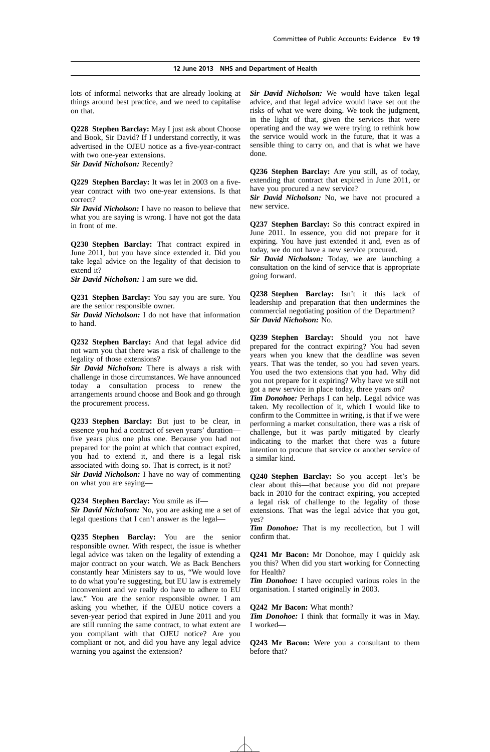lots of informal networks that are already looking at things around best practice, and we need to capitalise on that.

**Q228 Stephen Barclay:** May I just ask about Choose and Book, Sir David? If I understand correctly, it was advertised in the OJEU notice as a five-year-contract with two one-year extensions.

*Sir David Nicholson:* Recently?

**Q229 Stephen Barclay:** It was let in 2003 on a fiveyear contract with two one-year extensions. Is that correct?

*Sir David Nicholson:* I have no reason to believe that what you are saying is wrong. I have not got the data in front of me.

**Q230 Stephen Barclay:** That contract expired in June 2011, but you have since extended it. Did you take legal advice on the legality of that decision to extend it?

*Sir David Nicholson:* I am sure we did.

**Q231 Stephen Barclay:** You say you are sure. You are the senior responsible owner.

*Sir David Nicholson:* I do not have that information to hand.

**Q232 Stephen Barclay:** And that legal advice did not warn you that there was a risk of challenge to the legality of those extensions?

*Sir David Nicholson:* There is always a risk with challenge in those circumstances. We have announced today a consultation process to renew the arrangements around choose and Book and go through the procurement process.

**Q233 Stephen Barclay:** But just to be clear, in essence you had a contract of seven years' duration five years plus one plus one. Because you had not prepared for the point at which that contract expired, you had to extend it, and there is a legal risk associated with doing so. That is correct, is it not?

*Sir David Nicholson:* I have no way of commenting on what you are saying—

**Q234 Stephen Barclay:** You smile as if— *Sir David Nicholson:* No, you are asking me a set of legal questions that I can't answer as the legal—

**Q235 Stephen Barclay:** You are the senior responsible owner. With respect, the issue is whether legal advice was taken on the legality of extending a major contract on your watch. We as Back Benchers constantly hear Ministers say to us, "We would love to do what you're suggesting, but EU law is extremely inconvenient and we really do have to adhere to EU law." You are the senior responsible owner. I am asking you whether, if the OJEU notice covers a seven-year period that expired in June 2011 and you are still running the same contract, to what extent are you compliant with that OJEU notice? Are you compliant or not, and did you have any legal advice warning you against the extension?

*Sir David Nicholson:* We would have taken legal advice, and that legal advice would have set out the risks of what we were doing. We took the judgment, in the light of that, given the services that were operating and the way we were trying to rethink how the service would work in the future, that it was a sensible thing to carry on, and that is what we have done.

**Q236 Stephen Barclay:** Are you still, as of today, extending that contract that expired in June 2011, or have you procured a new service?

*Sir David Nicholson:* No, we have not procured a new service.

**Q237 Stephen Barclay:** So this contract expired in June 2011. In essence, you did not prepare for it expiring. You have just extended it and, even as of today, we do not have a new service procured.

*Sir David Nicholson:* Today, we are launching a consultation on the kind of service that is appropriate going forward.

**Q238 Stephen Barclay:** Isn't it this lack of leadership and preparation that then undermines the commercial negotiating position of the Department? *Sir David Nicholson:* No.

**Q239 Stephen Barclay:** Should you not have prepared for the contract expiring? You had seven years when you knew that the deadline was seven years. That was the tender, so you had seven years. You used the two extensions that you had. Why did you not prepare for it expiring? Why have we still not got a new service in place today, three years on?

*Tim Donohoe:* Perhaps I can help. Legal advice was taken. My recollection of it, which I would like to confirm to the Committee in writing, is that if we were performing a market consultation, there was a risk of challenge, but it was partly mitigated by clearly indicating to the market that there was a future intention to procure that service or another service of a similar kind.

**Q240 Stephen Barclay:** So you accept—let's be clear about this—that because you did not prepare back in 2010 for the contract expiring, you accepted a legal risk of challenge to the legality of those extensions. That was the legal advice that you got, yes?

*Tim Donohoe:* That is my recollection, but I will confirm that.

**Q241 Mr Bacon:** Mr Donohoe, may I quickly ask you this? When did you start working for Connecting for Health?

*Tim Donohoe:* I have occupied various roles in the organisation. I started originally in 2003.

**Q242 Mr Bacon:** What month?

*Tim Donohoe:* I think that formally it was in May. I worked—

**Q243 Mr Bacon:** Were you a consultant to them before that?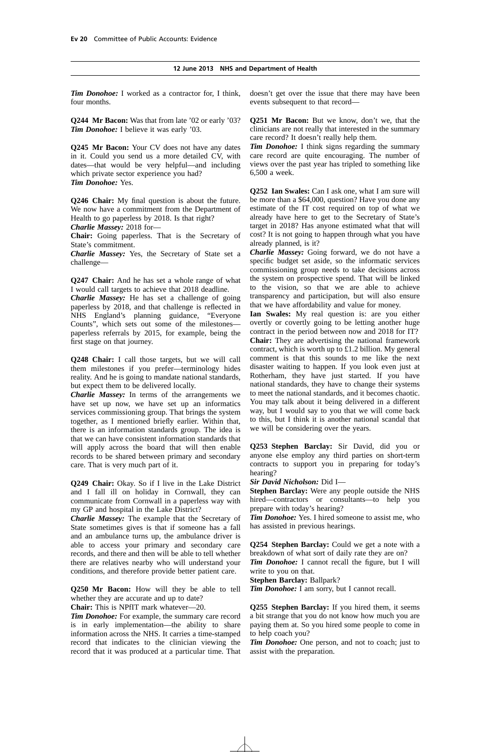*Tim Donohoe:* I worked as a contractor for, I think, four months.

**Q244 Mr Bacon:** Was that from late '02 or early '03? *Tim Donohoe:* I believe it was early '03.

**Q245 Mr Bacon:** Your CV does not have any dates in it. Could you send us a more detailed CV, with dates—that would be very helpful—and including which private sector experience you had? *Tim Donohoe:* Yes.

**Q246 Chair:** My final question is about the future. We now have a commitment from the Department of Health to go paperless by 2018. Is that right? *Charlie Massey:* 2018 for—

**Chair:** Going paperless. That is the Secretary of State's commitment.

*Charlie Massey:* Yes, the Secretary of State set a challenge—

**Q247 Chair:** And he has set a whole range of what I would call targets to achieve that 2018 deadline.

*Charlie Massey:* He has set a challenge of going paperless by 2018, and that challenge is reflected in NHS England's planning guidance, "Everyone Counts", which sets out some of the milestones paperless referrals by 2015, for example, being the first stage on that journey.

**Q248 Chair:** I call those targets, but we will call them milestones if you prefer—terminology hides reality. And he is going to mandate national standards, but expect them to be delivered locally.

*Charlie Massey:* In terms of the arrangements we have set up now, we have set up an informatics services commissioning group. That brings the system together, as I mentioned briefly earlier. Within that, there is an information standards group. The idea is that we can have consistent information standards that will apply across the board that will then enable records to be shared between primary and secondary care. That is very much part of it.

**Q249 Chair:** Okay. So if I live in the Lake District and I fall ill on holiday in Cornwall, they can communicate from Cornwall in a paperless way with my GP and hospital in the Lake District?

*Charlie Massey:* The example that the Secretary of State sometimes gives is that if someone has a fall and an ambulance turns up, the ambulance driver is able to access your primary and secondary care records, and there and then will be able to tell whether there are relatives nearby who will understand your conditions, and therefore provide better patient care.

**Q250 Mr Bacon:** How will they be able to tell whether they are accurate and up to date?

**Chair:** This is NPfIT mark whatever—20.

*Tim Donohoe:* For example, the summary care record is in early implementation—the ability to share information across the NHS. It carries a time-stamped record that indicates to the clinician viewing the record that it was produced at a particular time. That doesn't get over the issue that there may have been events subsequent to that record—

**Q251 Mr Bacon:** But we know, don't we, that the clinicians are not really that interested in the summary care record? It doesn't really help them.

*Tim Donohoe:* I think signs regarding the summary care record are quite encouraging. The number of views over the past year has tripled to something like 6,500 a week.

**Q252 Ian Swales:** Can I ask one, what I am sure will be more than a \$64,000, question? Have you done any estimate of the IT cost required on top of what we already have here to get to the Secretary of State's target in 2018? Has anyone estimated what that will cost? It is not going to happen through what you have already planned, is it?

*Charlie Massey:* Going forward, we do not have a specific budget set aside, so the informatic services commissioning group needs to take decisions across the system on prospective spend. That will be linked to the vision, so that we are able to achieve transparency and participation, but will also ensure that we have affordability and value for money.

**Ian Swales:** My real question is: are you either overtly or covertly going to be letting another huge contract in the period between now and 2018 for IT? **Chair:** They are advertising the national framework contract, which is worth up to £1.2 billion. My general comment is that this sounds to me like the next disaster waiting to happen. If you look even just at Rotherham, they have just started. If you have national standards, they have to change their systems to meet the national standards, and it becomes chaotic. You may talk about it being delivered in a different way, but I would say to you that we will come back to this, but I think it is another national scandal that we will be considering over the years.

**Q253 Stephen Barclay:** Sir David, did you or anyone else employ any third parties on short-term contracts to support you in preparing for today's hearing?

*Sir David Nicholson:* Did I—

**Stephen Barclay:** Were any people outside the NHS hired—contractors or consultants—to help you prepare with today's hearing?

*Tim Donohoe:* Yes. I hired someone to assist me, who has assisted in previous hearings.

**Q254 Stephen Barclay:** Could we get a note with a breakdown of what sort of daily rate they are on?

*Tim Donohoe:* I cannot recall the figure, but I will write to you on that.

**Stephen Barclay:** Ballpark?

*Tim Donohoe:* I am sorry, but I cannot recall.

**Q255 Stephen Barclay:** If you hired them, it seems a bit strange that you do not know how much you are paying them at. So you hired some people to come in to help coach you?

*Tim Donohoe:* One person, and not to coach; just to assist with the preparation.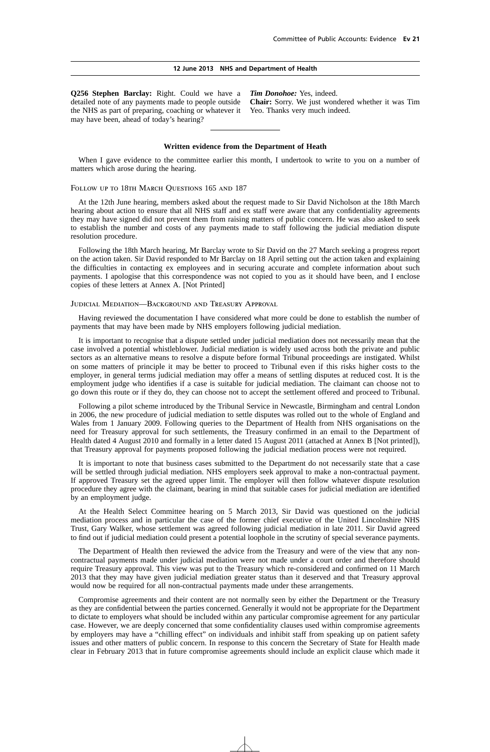**Q256 Stephen Barclay:** Right. Could we have a detailed note of any payments made to people outside the NHS as part of preparing, coaching or whatever it Yeo. Thanks very much indeed.may have been, ahead of today's hearing?

*Tim Donohoe:* Yes, indeed. **Chair:** Sorry. We just wondered whether it was Tim

#### **Written evidence from the Department of Heath**

When I gave evidence to the committee earlier this month, I undertook to write to you on a number of matters which arose during the hearing.

#### FOLLOW UP TO 18TH MARCH OUESTIONS 165 AND 187

At the 12th June hearing, members asked about the request made to Sir David Nicholson at the 18th March hearing about action to ensure that all NHS staff and ex staff were aware that any confidentiality agreements they may have signed did not prevent them from raising matters of public concern. He was also asked to seek to establish the number and costs of any payments made to staff following the judicial mediation dispute resolution procedure.

Following the 18th March hearing, Mr Barclay wrote to Sir David on the 27 March seeking a progress report on the action taken. Sir David responded to Mr Barclay on 18 April setting out the action taken and explaining the difficulties in contacting ex employees and in securing accurate and complete information about such payments. I apologise that this correspondence was not copied to you as it should have been, and I enclose copies of these letters at Annex A. [Not Printed]

#### Judicial Mediation—Background and Treasury Approval

Having reviewed the documentation I have considered what more could be done to establish the number of payments that may have been made by NHS employers following judicial mediation.

It is important to recognise that a dispute settled under judicial mediation does not necessarily mean that the case involved a potential whistleblower. Judicial mediation is widely used across both the private and public sectors as an alternative means to resolve a dispute before formal Tribunal proceedings are instigated. Whilst on some matters of principle it may be better to proceed to Tribunal even if this risks higher costs to the employer, in general terms judicial mediation may offer a means of settling disputes at reduced cost. It is the employment judge who identifies if a case is suitable for judicial mediation. The claimant can choose not to go down this route or if they do, they can choose not to accept the settlement offered and proceed to Tribunal.

Following a pilot scheme introduced by the Tribunal Service in Newcastle, Birmingham and central London in 2006, the new procedure of judicial mediation to settle disputes was rolled out to the whole of England and Wales from 1 January 2009. Following queries to the Department of Health from NHS organisations on the need for Treasury approval for such settlements, the Treasury confirmed in an email to the Department of Health dated 4 August 2010 and formally in a letter dated 15 August 2011 (attached at Annex B [Not printed]), that Treasury approval for payments proposed following the judicial mediation process were not required.

It is important to note that business cases submitted to the Department do not necessarily state that a case will be settled through judicial mediation. NHS employers seek approval to make a non-contractual payment. If approved Treasury set the agreed upper limit. The employer will then follow whatever dispute resolution procedure they agree with the claimant, bearing in mind that suitable cases for judicial mediation are identified by an employment judge.

At the Health Select Committee hearing on 5 March 2013, Sir David was questioned on the judicial mediation process and in particular the case of the former chief executive of the United Lincolnshire NHS Trust, Gary Walker, whose settlement was agreed following judicial mediation in late 2011. Sir David agreed to find out if judicial mediation could present a potential loophole in the scrutiny of special severance payments.

The Department of Health then reviewed the advice from the Treasury and were of the view that any noncontractual payments made under judicial mediation were not made under a court order and therefore should require Treasury approval. This view was put to the Treasury which re-considered and confirmed on 11 March 2013 that they may have given judicial mediation greater status than it deserved and that Treasury approval would now be required for all non-contractual payments made under these arrangements.

Compromise agreements and their content are not normally seen by either the Department or the Treasury as they are confidential between the parties concerned. Generally it would not be appropriate for the Department to dictate to employers what should be included within any particular compromise agreement for any particular case. However, we are deeply concerned that some confidentiality clauses used within compromise agreements by employers may have a "chilling effect" on individuals and inhibit staff from speaking up on patient safety issues and other matters of public concern. In response to this concern the Secretary of State for Health made clear in February 2013 that in future compromise agreements should include an explicit clause which made it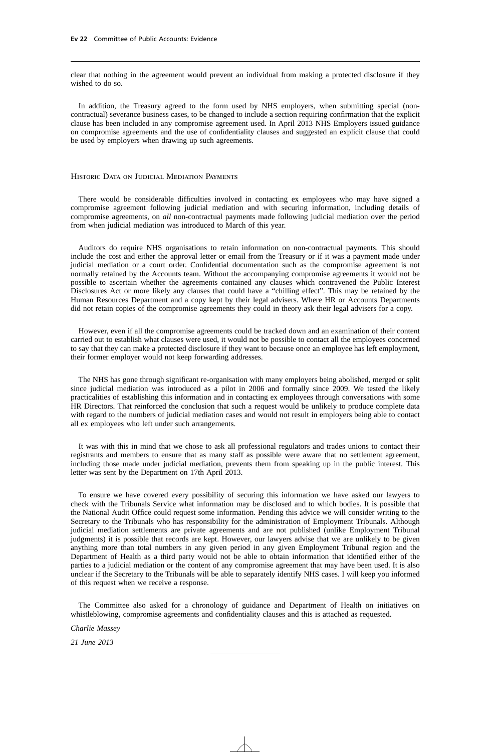clear that nothing in the agreement would prevent an individual from making a protected disclosure if they wished to do so.

In addition, the Treasury agreed to the form used by NHS employers, when submitting special (noncontractual) severance business cases, to be changed to include a section requiring confirmation that the explicit clause has been included in any compromise agreement used. In April 2013 NHS Employers issued guidance on compromise agreements and the use of confidentiality clauses and suggested an explicit clause that could be used by employers when drawing up such agreements.

#### Historic Data on Judicial Mediation Payments

There would be considerable difficulties involved in contacting ex employees who may have signed a compromise agreement following judicial mediation and with securing information, including details of compromise agreements, on *all* non-contractual payments made following judicial mediation over the period from when judicial mediation was introduced to March of this year.

Auditors do require NHS organisations to retain information on non-contractual payments. This should include the cost and either the approval letter or email from the Treasury or if it was a payment made under judicial mediation or a court order. Confidential documentation such as the compromise agreement is not normally retained by the Accounts team. Without the accompanying compromise agreements it would not be possible to ascertain whether the agreements contained any clauses which contravened the Public Interest Disclosures Act or more likely any clauses that could have a "chilling effect". This may be retained by the Human Resources Department and a copy kept by their legal advisers. Where HR or Accounts Departments did not retain copies of the compromise agreements they could in theory ask their legal advisers for a copy.

However, even if all the compromise agreements could be tracked down and an examination of their content carried out to establish what clauses were used, it would not be possible to contact all the employees concerned to say that they can make a protected disclosure if they want to because once an employee has left employment, their former employer would not keep forwarding addresses.

The NHS has gone through significant re-organisation with many employers being abolished, merged or split since judicial mediation was introduced as a pilot in 2006 and formally since 2009. We tested the likely practicalities of establishing this information and in contacting ex employees through conversations with some HR Directors. That reinforced the conclusion that such a request would be unlikely to produce complete data with regard to the numbers of judicial mediation cases and would not result in employers being able to contact all ex employees who left under such arrangements.

It was with this in mind that we chose to ask all professional regulators and trades unions to contact their registrants and members to ensure that as many staff as possible were aware that no settlement agreement, including those made under judicial mediation, prevents them from speaking up in the public interest. This letter was sent by the Department on 17th April 2013.

To ensure we have covered every possibility of securing this information we have asked our lawyers to check with the Tribunals Service what information may be disclosed and to which bodies. It is possible that the National Audit Office could request some information. Pending this advice we will consider writing to the Secretary to the Tribunals who has responsibility for the administration of Employment Tribunals. Although judicial mediation settlements are private agreements and are not published (unlike Employment Tribunal judgments) it is possible that records are kept. However, our lawyers advise that we are unlikely to be given anything more than total numbers in any given period in any given Employment Tribunal region and the Department of Health as a third party would not be able to obtain information that identified either of the parties to a judicial mediation or the content of any compromise agreement that may have been used. It is also unclear if the Secretary to the Tribunals will be able to separately identify NHS cases. I will keep you informed of this request when we receive a response.

The Committee also asked for a chronology of guidance and Department of Health on initiatives on whistleblowing, compromise agreements and confidentiality clauses and this is attached as requested.

*Charlie Massey*

*21 June 2013*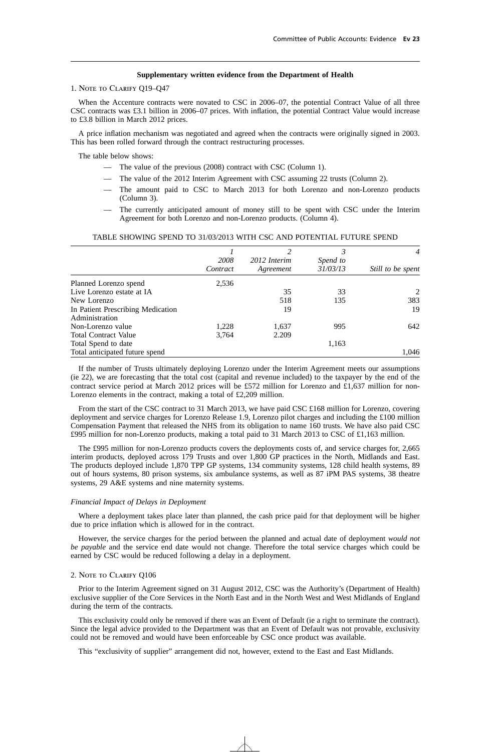#### **Supplementary written evidence from the Department of Health**

#### 1. Note to Clarify Q19–Q47

When the Accenture contracts were novated to CSC in 2006–07, the potential Contract Value of all three CSC contracts was £3.1 billion in 2006–07 prices. With inflation, the potential Contract Value would increase to £3.8 billion in March 2012 prices.

A price inflation mechanism was negotiated and agreed when the contracts were originally signed in 2003. This has been rolled forward through the contract restructuring processes.

The table below shows:

- The value of the previous (2008) contract with CSC (Column 1).
- The value of the 2012 Interim Agreement with CSC assuming 22 trusts (Column 2).
- The amount paid to CSC to March 2013 for both Lorenzo and non-Lorenzo products (Column 3).
- The currently anticipated amount of money still to be spent with CSC under the Interim Agreement for both Lorenzo and non-Lorenzo products. (Column 4).

|                                   |          |              |          | $\overline{4}$    |
|-----------------------------------|----------|--------------|----------|-------------------|
|                                   | 2008     | 2012 Interim | Spend to |                   |
|                                   | Contract | Agreement    | 31/03/13 | Still to be spent |
| Planned Lorenzo spend             | 2,536    |              |          |                   |
| Live Lorenzo estate at IA         |          | 35           | 33       | $2^{1}$           |
| New Lorenzo                       |          | 518          | 135      | 383               |
| In Patient Prescribing Medication |          | 19           |          | 19                |
| Administration                    |          |              |          |                   |
| Non-Lorenzo value                 | 1,228    | 1,637        | 995      | 642               |
| <b>Total Contract Value</b>       | 3,764    | 2.209        |          |                   |
| Total Spend to date               |          |              | 1,163    |                   |
| Total anticipated future spend    |          |              |          | 1,046             |

#### TABLE SHOWING SPEND TO 31/03/2013 WITH CSC AND POTENTIAL FUTURE SPEND

If the number of Trusts ultimately deploying Lorenzo under the Interim Agreement meets our assumptions (ie 22), we are forecasting that the total cost (capital and revenue included) to the taxpayer by the end of the contract service period at March 2012 prices will be £572 million for Lorenzo and £1,637 million for non-Lorenzo elements in the contract, making a total of £2,209 million.

From the start of the CSC contract to 31 March 2013, we have paid CSC £168 million for Lorenzo, covering deployment and service charges for Lorenzo Release 1.9, Lorenzo pilot charges and including the £100 million Compensation Payment that released the NHS from its obligation to name 160 trusts. We have also paid CSC £995 million for non-Lorenzo products, making a total paid to 31 March 2013 to CSC of £1,163 million.

The £995 million for non-Lorenzo products covers the deployments costs of, and service charges for, 2,665 interim products, deployed across 179 Trusts and over 1,800 GP practices in the North, Midlands and East. The products deployed include 1,870 TPP GP systems, 134 community systems, 128 child health systems, 89 out of hours systems, 80 prison systems, six ambulance systems, as well as 87 iPM PAS systems, 38 theatre systems, 29 A&E systems and nine maternity systems.

#### *Financial Impact of Delays in Deployment*

Where a deployment takes place later than planned, the cash price paid for that deployment will be higher due to price inflation which is allowed for in the contract.

However, the service charges for the period between the planned and actual date of deployment *would not be payable* and the service end date would not change. Therefore the total service charges which could be earned by CSC would be reduced following a delay in a deployment.

#### 2. Note to Clarify Q106

Prior to the Interim Agreement signed on 31 August 2012, CSC was the Authority's (Department of Health) exclusive supplier of the Core Services in the North East and in the North West and West Midlands of England during the term of the contracts.

This exclusivity could only be removed if there was an Event of Default (ie a right to terminate the contract). Since the legal advice provided to the Department was that an Event of Default was not provable, exclusivity could not be removed and would have been enforceable by CSC once product was available.

This "exclusivity of supplier" arrangement did not, however, extend to the East and East Midlands.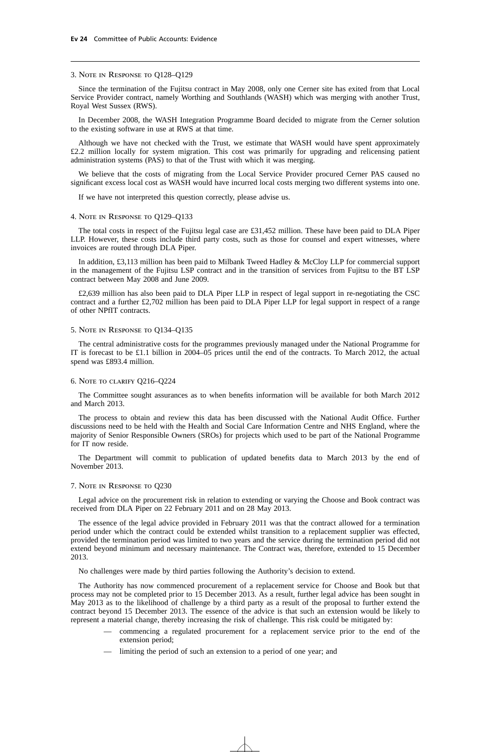#### 3. Note in Response to Q128–Q129

Since the termination of the Fujitsu contract in May 2008, only one Cerner site has exited from that Local Service Provider contract, namely Worthing and Southlands (WASH) which was merging with another Trust, Royal West Sussex (RWS).

In December 2008, the WASH Integration Programme Board decided to migrate from the Cerner solution to the existing software in use at RWS at that time.

Although we have not checked with the Trust, we estimate that WASH would have spent approximately £2.2 million locally for system migration. This cost was primarily for upgrading and relicensing patient administration systems (PAS) to that of the Trust with which it was merging.

We believe that the costs of migrating from the Local Service Provider procured Cerner PAS caused no significant excess local cost as WASH would have incurred local costs merging two different systems into one.

If we have not interpreted this question correctly, please advise us.

#### 4. Note in Response to Q129–Q133

The total costs in respect of the Fujitsu legal case are £31,452 million. These have been paid to DLA Piper LLP. However, these costs include third party costs, such as those for counsel and expert witnesses, where invoices are routed through DLA Piper.

In addition, £3,113 million has been paid to Milbank Tweed Hadley & McCloy LLP for commercial support in the management of the Fujitsu LSP contract and in the transition of services from Fujitsu to the BT LSP contract between May 2008 and June 2009.

£2,639 million has also been paid to DLA Piper LLP in respect of legal support in re-negotiating the CSC contract and a further £2,702 million has been paid to DLA Piper LLP for legal support in respect of a range of other NPfIT contracts.

#### 5. Note in Response to Q134–Q135

The central administrative costs for the programmes previously managed under the National Programme for IT is forecast to be £1.1 billion in 2004–05 prices until the end of the contracts. To March 2012, the actual spend was £893.4 million.

#### 6. Note to clarify Q216–Q224

The Committee sought assurances as to when benefits information will be available for both March 2012 and March 2013.

The process to obtain and review this data has been discussed with the National Audit Office. Further discussions need to be held with the Health and Social Care Information Centre and NHS England, where the majority of Senior Responsible Owners (SROs) for projects which used to be part of the National Programme for IT now reside.

The Department will commit to publication of updated benefits data to March 2013 by the end of November 2013.

#### 7. Note in Response to Q230

Legal advice on the procurement risk in relation to extending or varying the Choose and Book contract was received from DLA Piper on 22 February 2011 and on 28 May 2013.

The essence of the legal advice provided in February 2011 was that the contract allowed for a termination period under which the contract could be extended whilst transition to a replacement supplier was effected, provided the termination period was limited to two years and the service during the termination period did not extend beyond minimum and necessary maintenance. The Contract was, therefore, extended to 15 December 2013.

No challenges were made by third parties following the Authority's decision to extend.

The Authority has now commenced procurement of a replacement service for Choose and Book but that process may not be completed prior to 15 December 2013. As a result, further legal advice has been sought in May 2013 as to the likelihood of challenge by a third party as a result of the proposal to further extend the contract beyond 15 December 2013. The essence of the advice is that such an extension would be likely to represent a material change, thereby increasing the risk of challenge. This risk could be mitigated by:

- commencing a regulated procurement for a replacement service prior to the end of the extension period;
- limiting the period of such an extension to a period of one year; and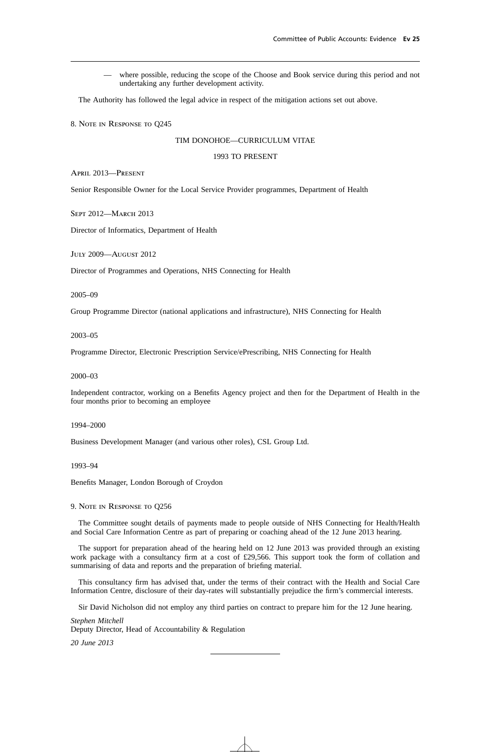— where possible, reducing the scope of the Choose and Book service during this period and not undertaking any further development activity.

The Authority has followed the legal advice in respect of the mitigation actions set out above.

8. Note in Response to Q245

#### TIM DONOHOE—CURRICULUM VITAE

#### 1993 TO PRESENT

April 2013—Present

Senior Responsible Owner for the Local Service Provider programmes, Department of Health

SEPT 2012-MARCH 2013

Director of Informatics, Department of Health

July 2009—August 2012

Director of Programmes and Operations, NHS Connecting for Health

2005–09

Group Programme Director (national applications and infrastructure), NHS Connecting for Health

2003–05

Programme Director, Electronic Prescription Service/ePrescribing, NHS Connecting for Health

#### 2000–03

Independent contractor, working on a Benefits Agency project and then for the Department of Health in the four months prior to becoming an employee

1994–2000

Business Development Manager (and various other roles), CSL Group Ltd.

1993–94

Benefits Manager, London Borough of Croydon

9. Note in Response to Q256

The Committee sought details of payments made to people outside of NHS Connecting for Health/Health and Social Care Information Centre as part of preparing or coaching ahead of the 12 June 2013 hearing.

The support for preparation ahead of the hearing held on 12 June 2013 was provided through an existing work package with a consultancy firm at a cost of £29,566. This support took the form of collation and summarising of data and reports and the preparation of briefing material.

This consultancy firm has advised that, under the terms of their contract with the Health and Social Care Information Centre, disclosure of their day-rates will substantially prejudice the firm's commercial interests.

Sir David Nicholson did not employ any third parties on contract to prepare him for the 12 June hearing.

*Stephen Mitchell* Deputy Director, Head of Accountability & Regulation *20 June 2013*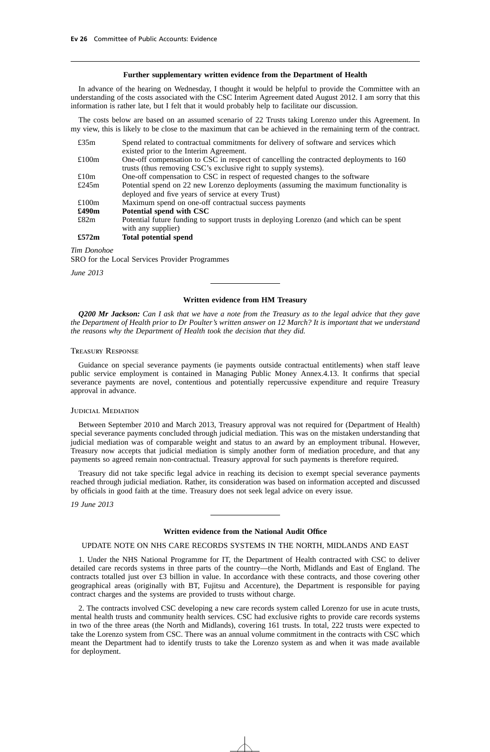#### **Further supplementary written evidence from the Department of Health**

In advance of the hearing on Wednesday, I thought it would be helpful to provide the Committee with an understanding of the costs associated with the CSC Interim Agreement dated August 2012. I am sorry that this information is rather late, but I felt that it would probably help to facilitate our discussion.

The costs below are based on an assumed scenario of 22 Trusts taking Lorenzo under this Agreement. In my view, this is likely to be close to the maximum that can be achieved in the remaining term of the contract.

| Spend related to contractual commitments for delivery of software and services which    |
|-----------------------------------------------------------------------------------------|
| existed prior to the Interim Agreement.                                                 |
| One-off compensation to CSC in respect of cancelling the contracted deployments to 160  |
| trusts (thus removing CSC's exclusive right to supply systems).                         |
| One-off compensation to CSC in respect of requested changes to the software             |
| Potential spend on 22 new Lorenzo deployments (assuming the maximum functionality is    |
| deployed and five years of service at every Trust)                                      |
| Maximum spend on one-off contractual success payments                                   |
| Potential spend with CSC                                                                |
| Potential future funding to support trusts in deploying Lorenzo (and which can be spent |
| with any supplier)                                                                      |
| Total potential spend                                                                   |
|                                                                                         |

*Tim Donohoe* SRO for the Local Services Provider Programmes

*June 2013*

#### **Written evidence from HM Treasury**

*Q200 Mr Jackson: Can I ask that we have a note from the Treasury as to the legal advice that they gave the Department of Health prior to Dr Poulter's written answer on 12 March? It is important that we understand the reasons why the Department of Health took the decision that they did.*

#### Treasury Response

Guidance on special severance payments (ie payments outside contractual entitlements) when staff leave public service employment is contained in Managing Public Money Annex.4.13. It confirms that special severance payments are novel, contentious and potentially repercussive expenditure and require Treasury approval in advance.

#### JUDICIAL MEDIATION

Between September 2010 and March 2013, Treasury approval was not required for (Department of Health) special severance payments concluded through judicial mediation. This was on the mistaken understanding that judicial mediation was of comparable weight and status to an award by an employment tribunal. However, Treasury now accepts that judicial mediation is simply another form of mediation procedure, and that any payments so agreed remain non-contractual. Treasury approval for such payments is therefore required.

Treasury did not take specific legal advice in reaching its decision to exempt special severance payments reached through judicial mediation. Rather, its consideration was based on information accepted and discussed by officials in good faith at the time. Treasury does not seek legal advice on every issue.

*19 June 2013*

#### **Written evidence from the National Audit Office**

#### UPDATE NOTE ON NHS CARE RECORDS SYSTEMS IN THE NORTH, MIDLANDS AND EAST

1. Under the NHS National Programme for IT, the Department of Health contracted with CSC to deliver detailed care records systems in three parts of the country—the North, Midlands and East of England. The contracts totalled just over £3 billion in value. In accordance with these contracts, and those covering other geographical areas (originally with BT, Fujitsu and Accenture), the Department is responsible for paying contract charges and the systems are provided to trusts without charge.

2. The contracts involved CSC developing a new care records system called Lorenzo for use in acute trusts, mental health trusts and community health services. CSC had exclusive rights to provide care records systems in two of the three areas (the North and Midlands), covering 161 trusts. In total, 222 trusts were expected to take the Lorenzo system from CSC. There was an annual volume commitment in the contracts with CSC which meant the Department had to identify trusts to take the Lorenzo system as and when it was made available for deployment.